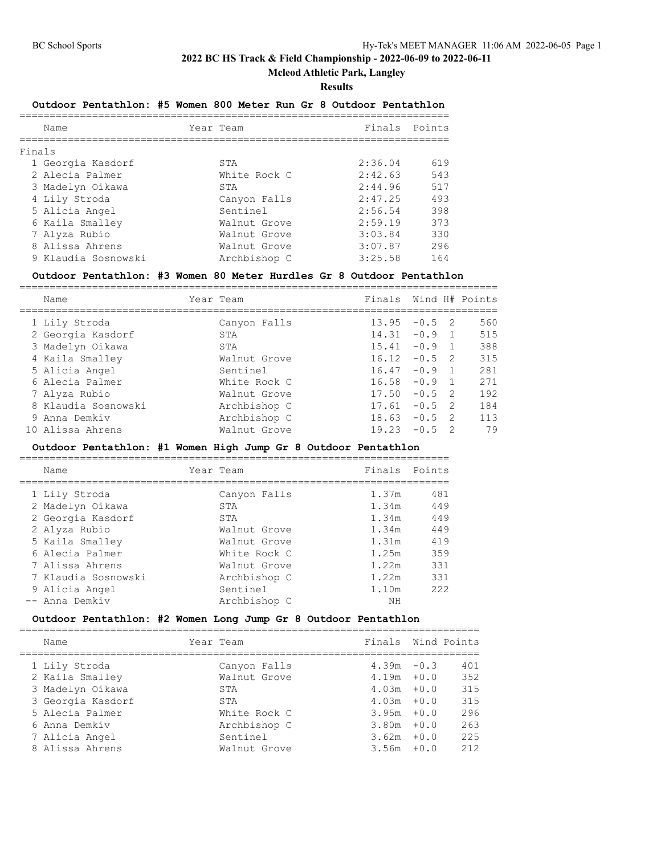**Mcleod Athletic Park, Langley**

#### **Results**

## **Outdoor Pentathlon: #5 Women 800 Meter Run Gr 8 Outdoor Pentathlon**

| Name |                                                                                                                                                                                     |              | Finals Points |     |
|------|-------------------------------------------------------------------------------------------------------------------------------------------------------------------------------------|--------------|---------------|-----|
|      |                                                                                                                                                                                     |              |               |     |
|      |                                                                                                                                                                                     | STA          | 2:36.04       | 619 |
|      |                                                                                                                                                                                     | White Rock C | 2:42.63       | 543 |
|      |                                                                                                                                                                                     | STA          | 2:44.96       | 517 |
|      |                                                                                                                                                                                     | Canyon Falls | 2:47.25       | 493 |
|      |                                                                                                                                                                                     | Sentinel     | 2:56.54       | 398 |
|      |                                                                                                                                                                                     | Walnut Grove | 2:59.19       | 373 |
|      |                                                                                                                                                                                     | Walnut Grove | 3:03.84       | 330 |
|      |                                                                                                                                                                                     | Walnut Grove | 3:07.87       | 296 |
|      |                                                                                                                                                                                     | Archbishop C | 3:25.58       | 164 |
|      | Finals<br>1 Georgia Kasdorf<br>2 Alecia Palmer<br>3 Madelyn Oikawa<br>4 Lily Stroda<br>5 Alicia Angel<br>6 Kaila Smalley<br>7 Alyza Rubio<br>8 Alissa Ahrens<br>9 Klaudia Sosnowski |              | Year Team     |     |

#### **Outdoor Pentathlon: #3 Women 80 Meter Hurdles Gr 8 Outdoor Pentathlon**

===============================================================================

| Name                | Year Team    | Finals |          |                | Wind H# Points |
|---------------------|--------------|--------|----------|----------------|----------------|
| 1 Lily Stroda       | Canyon Falls | 13.95  | $-0.5$ 2 |                | 560            |
| 2 Georgia Kasdorf   | STA          | 14.31  | $-0.9$   |                | 515            |
| 3 Madelyn Oikawa    | STA          | 15.41  | $-0.9$   |                | 388            |
| 4 Kaila Smalley     | Walnut Grove | 16.12  | $-0.5$ 2 |                | 315            |
| 5 Alicia Angel      | Sentinel     | 16.47  | $-0.9$   |                | 281            |
| 6 Alecia Palmer     | White Rock C | 16.58  | $-0.9$   |                | 271            |
| 7 Alyza Rubio       | Walnut Grove | 17.50  | $-0.5$   | $\overline{2}$ | 192            |
| 8 Klaudia Sosnowski | Archbishop C | 17.61  | $-0.5$   | - 2            | 184            |
| 9 Anna Demkiv       | Archbishop C | 18.63  | $-0.5$   | -2             | 113            |
| 10 Alissa Ahrens    | Walnut Grove | 19.23  | $-0.5$   |                | 79             |

### **Outdoor Pentathlon: #1 Women High Jump Gr 8 Outdoor Pentathlon**

| Name |                                                                                                                                                                                             |              | Finals Points             |     |
|------|---------------------------------------------------------------------------------------------------------------------------------------------------------------------------------------------|--------------|---------------------------|-----|
|      |                                                                                                                                                                                             |              | 1.37m                     | 481 |
|      |                                                                                                                                                                                             | STA          | 1.34m                     | 449 |
|      |                                                                                                                                                                                             | STA          | 1.34m                     | 449 |
|      |                                                                                                                                                                                             | Walnut Grove | 1.34m                     | 449 |
|      |                                                                                                                                                                                             | Walnut Grove | 1.31m                     | 419 |
|      |                                                                                                                                                                                             | White Rock C | 1.25m                     | 359 |
|      |                                                                                                                                                                                             | Walnut Grove | 1.22m                     | 331 |
|      |                                                                                                                                                                                             | Archbishop C | 1.22m                     | 331 |
|      |                                                                                                                                                                                             | Sentinel     | 1.10m                     | 222 |
|      |                                                                                                                                                                                             | Archbishop C | NΗ                        |     |
|      | 1 Lily Stroda<br>2 Madelyn Oikawa<br>2 Georgia Kasdorf<br>2 Alyza Rubio<br>5 Kaila Smalley<br>6 Alecia Palmer<br>7 Alissa Ahrens<br>7 Klaudia Sosnowski<br>9 Alicia Angel<br>-- Anna Demkiv |              | Year Team<br>Canyon Falls |     |

# **Outdoor Pentathlon: #2 Women Long Jump Gr 8 Outdoor Pentathlon**

| Name              | Year Team    | Finals Wind Points |        |     |
|-------------------|--------------|--------------------|--------|-----|
| 1 Lily Stroda     | Canyon Falls | $4.39m - 0.3$      |        | 401 |
| 2 Kaila Smalley   | Walnut Grove | $4.19m + 0.0$      |        | 352 |
| 3 Madelyn Oikawa  | STA          | $4.03m + 0.0$      |        | 315 |
| 3 Georgia Kasdorf | STA          | $4.03m + 0.0$      |        | 315 |
| 5 Alecia Palmer   | White Rock C | $3.95m + 0.0$      |        | 296 |
| 6 Anna Demkiy     | Archbishop C | 3.80m              | $+0.0$ | 263 |
| 7 Alicia Angel    | Sentinel     | $3.62m + 0.0$      |        | 225 |
| 8 Alissa Ahrens   | Walnut Grove | 3.56m              | $+0.0$ | 212 |
|                   |              |                    |        |     |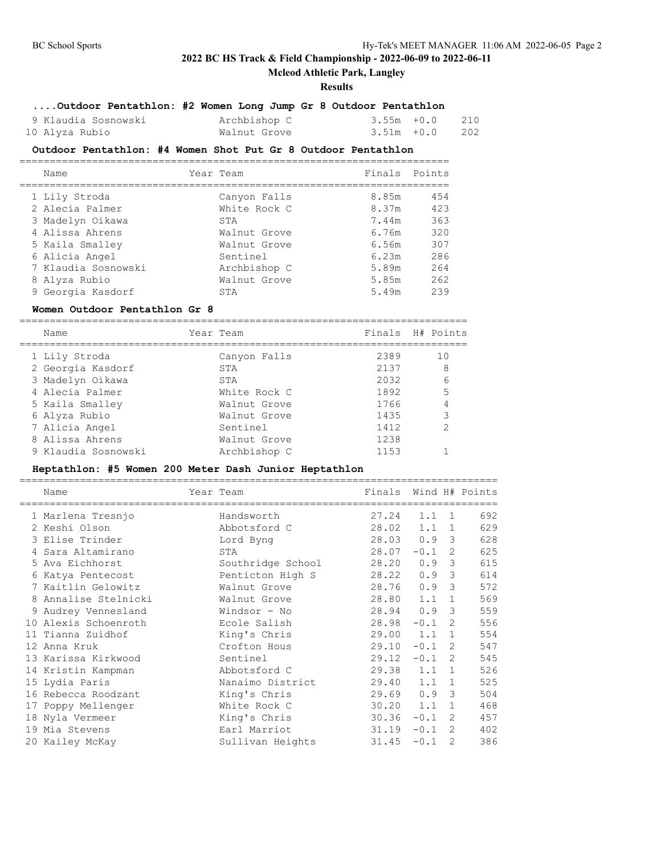## **Mcleod Athletic Park, Langley**

#### **Results**

## **....Outdoor Pentathlon: #2 Women Long Jump Gr 8 Outdoor Pentathlon**

| 9 Klaudia Sosnowski | Archbishop C | $3.55m + 0.0$ 210 |  |
|---------------------|--------------|-------------------|--|
| 10 Alyza Rubio      | Walnut Grove | $3.51m + 0.0$ 202 |  |

### **Outdoor Pentathlon: #4 Women Shot Put Gr 8 Outdoor Pentathlon**

| Name                | Year Team     |              |                        |
|---------------------|---------------|--------------|------------------------|
|                     |               |              |                        |
|                     |               |              | 454                    |
| 2 Alecia Palmer     | White Rock C  | 8.37m        | 423                    |
| 3 Madelyn Oikawa    | STA           | 7.44m        | 363                    |
| 4 Alissa Ahrens     | Walnut Grove  | 6.76m        | 320                    |
| 5 Kaila Smalley     | Walnut Grove  | 6.56m        | 307                    |
| 6 Alicia Angel      | Sentinel      | 6.23m        | 286                    |
| 7 Klaudia Sosnowski | Archbishop C  | 5.89m        | 264                    |
| 8 Alyza Rubio       | Walnut Grove  | 5.85m        | 262                    |
| 9 Georgia Kasdorf   | STA           | 5.49m        | 239                    |
|                     | 1 Lily Stroda | Canyon Falls | Finals Points<br>8.85m |

#### **Women Outdoor Pentathlon Gr 8**

==========================================================================

| Name                | Year Team    |      | Finals H# Points |  |
|---------------------|--------------|------|------------------|--|
| 1 Lily Stroda       | Canyon Falls | 2389 | 10               |  |
| 2 Georgia Kasdorf   | STA          | 2137 | 8                |  |
| 3 Madelyn Oikawa    | STA          | 2032 | 6                |  |
| 4 Alecia Palmer     | White Rock C | 1892 | 5                |  |
| 5 Kaila Smalley     | Walnut Grove | 1766 | 4                |  |
| 6 Alyza Rubio       | Walnut Grove | 1435 | 3                |  |
| 7 Alicia Angel      | Sentinel     | 1412 | 2                |  |
| 8 Alissa Ahrens     | Walnut Grove | 1238 |                  |  |
| 9 Klaudia Sosnowski | Archbishop C | 1153 |                  |  |

## **Heptathlon: #5 Women 200 Meter Dash Junior Heptathlon**

|    | Name                 | Year Team         | Finals |               |              | Wind H# Points |
|----|----------------------|-------------------|--------|---------------|--------------|----------------|
|    | 1 Marlena Tresnjo    | Handsworth        | 27.24  | 1.1           | -1           | 692            |
|    | 2 Keshi Olson        | Abbotsford C      | 28.02  | 1.1           | 1            | 629            |
|    | 3 Elise Trinder      | Lord Byng         | 28.03  | $0.9 \quad 3$ |              | 628            |
|    | 4 Sara Altamirano    | STA               | 28.07  | $-0.1$        | 2            | 625            |
|    | 5 Ava Eichhorst      | Southridge School | 28.20  | 0.9           | 3            | 615            |
|    | 6 Katya Pentecost    | Penticton High S  | 28.22  | 0.9           | 3            | 614            |
|    | 7 Kaitlin Gelowitz   | Walnut Grove      | 28.76  | 0.9           | 3            | 572            |
|    | 8 Annalise Stelnicki | Walnut Grove      | 28.80  | 1.1           | 1            | 569            |
| 9  | Audrey Vennesland    | Windsor - No      | 28.94  | 0.9           | 3            | 559            |
|    | 10 Alexis Schoenroth | Ecole Salish      | 28.98  | $-0.1$        | 2            | 556            |
| 11 | Tianna Zuidhof       | King's Chris      | 29.00  | 1.1           | $\mathbf{1}$ | 554            |
|    | 12 Anna Kruk         | Crofton Hous      | 29.10  | $-0.1$        | 2            | 547            |
|    | 13 Karissa Kirkwood  | Sentinel          | 29.12  | $-0.1$        | 2            | 545            |
|    | 14 Kristin Kampman   | Abbotsford C      | 29.38  | 1.1           | 1            | 526            |
|    | 15 Lydia Paris       | Nanaimo District  | 29.40  | 1.1           | $\mathbf{1}$ | 525            |
|    | 16 Rebecca Roodzant  | King's Chris      | 29.69  | 0.9           | 3            | 504            |
|    | 17 Poppy Mellenger   | White Rock C      | 30.20  | 1.1           | 1            | 468            |
|    | 18 Nyla Vermeer      | King's Chris      | 30.36  | $-0.1$        | 2            | 457            |
|    | 19 Mia Stevens       | Earl Marriot      | 31.19  | $-0.1$        | 2            | 402            |
|    | 20 Kailey McKay      | Sullivan Heights  | 31.45  | $-0.1$        | 2            | 386            |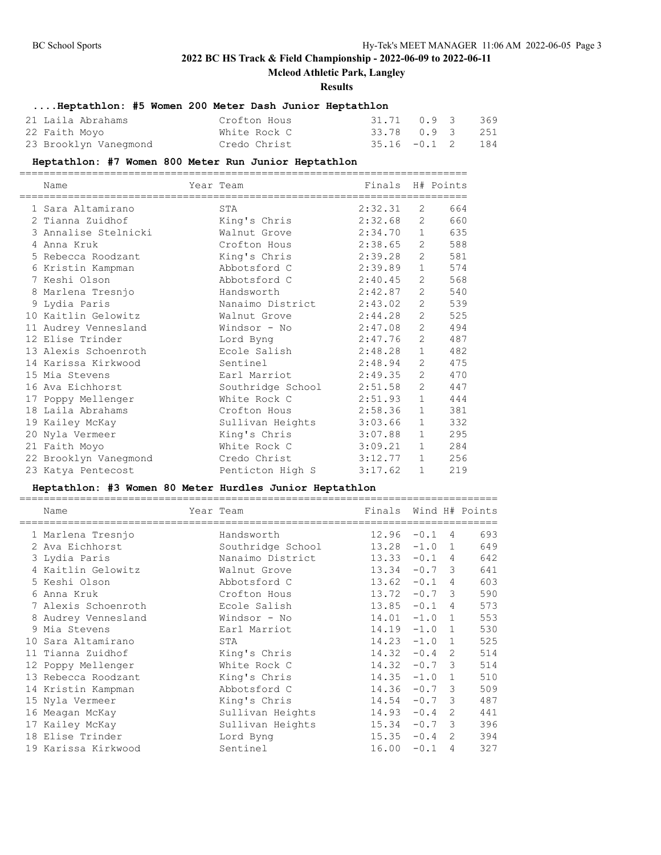## **Mcleod Athletic Park, Langley**

#### **Results**

# **....Heptathlon: #5 Women 200 Meter Dash Junior Heptathlon**

| 21 Laila Abrahams     | Crofton Hous | 31.71 0.9 3 369    |  |  |
|-----------------------|--------------|--------------------|--|--|
| 22 Faith Moyo         | White Rock C | 33.78 0.9 3 251    |  |  |
| 23 Brooklyn Vanegmond | Credo Christ | $35.16 -0.1$ 2 184 |  |  |

## **Heptathlon: #7 Women 800 Meter Run Junior Heptathlon**

| Name                  | Year Team<br>====================== |         |                       | Finals H# Points |
|-----------------------|-------------------------------------|---------|-----------------------|------------------|
| 1 Sara Altamirano     | STA                                 | 2:32.31 | 2                     | 664              |
| 2 Tianna Zuidhof      | King's Chris                        | 2:32.68 | 2                     | 660              |
| 3 Annalise Stelnicki  | Walnut Grove                        | 2:34.70 | $\mathbf{1}$          | 635              |
| 4 Anna Kruk           | Crofton Hous                        | 2:38.65 | 2                     | 588              |
| 5 Rebecca Roodzant    | King's Chris                        | 2:39.28 | 2                     | 581              |
| 6 Kristin Kampman     | Abbotsford C                        | 2:39.89 | $\mathbf{1}$          | 574              |
| 7 Keshi Olson         | Abbotsford C                        | 2:40.45 | 2                     | 568              |
| 8 Marlena Tresnjo     | Handsworth                          | 2:42.87 | 2                     | 540              |
| 9 Lydia Paris         | Nanaimo District                    | 2:43.02 | $\mathbf{2}^{\prime}$ | 539              |
| 10 Kaitlin Gelowitz   | Walnut Grove                        | 2:44.28 | $\overline{2}$        | 525              |
| 11 Audrey Vennesland  | Windsor - No                        | 2:47.08 | $\overline{2}$        | 494              |
| 12 Elise Trinder      | Lord Byng                           | 2:47.76 | 2                     | 487              |
| 13 Alexis Schoenroth  | Ecole Salish                        | 2:48.28 | $\mathbf 1$           | 482              |
| 14 Karissa Kirkwood   | Sentinel                            | 2:48.94 | $\overline{2}$        | 475              |
| 15 Mia Stevens        | Earl Marriot                        | 2:49.35 | $\overline{2}$        | 470              |
| 16 Ava Eichhorst      | Southridge School                   | 2:51.58 | 2                     | 447              |
| 17 Poppy Mellenger    | White Rock C                        | 2:51.93 | $\mathbf{1}$          | 444              |
| 18 Laila Abrahams     | Crofton Hous                        | 2:58.36 | $\mathbf{1}$          | 381              |
| 19 Kailey McKay       | Sullivan Heights                    | 3:03.66 | $\mathbf{1}$          | 332              |
| 20 Nyla Vermeer       | King's Chris                        | 3:07.88 | $\mathbf{1}$          | 295              |
| 21 Faith Moyo         | White Rock C                        | 3:09.21 | $\mathbf{1}$          | 284              |
| 22 Brooklyn Vanegmond | Credo Christ                        | 3:12.77 | $\mathbf{1}$          | 256              |
| 23 Katya Pentecost    | Penticton High S                    | 3:17.62 | $\mathbf{1}$          | 219              |

### **Heptathlon: #3 Women 80 Meter Hurdles Junior Heptathlon**

|     | Name                | Year Team         | Finals |        |                | Wind H# Points |
|-----|---------------------|-------------------|--------|--------|----------------|----------------|
|     | 1 Marlena Tresnjo   | Handsworth        | 12.96  | $-0.1$ | 4              | 693            |
|     | 2 Ava Eichhorst     | Southridge School | 13.28  | $-1.0$ | 1              | 649            |
|     | 3 Lydia Paris       | Nanaimo District  | 13.33  | $-0.1$ | 4              | 642            |
|     | 4 Kaitlin Gelowitz  | Walnut Grove      | 13.34  | $-0.7$ | 3              | 641            |
|     | 5 Keshi Olson       | Abbotsford C      | 13.62  | $-0.1$ | 4              | 603            |
|     | 6 Anna Kruk         | Crofton Hous      | 13.72  | $-0.7$ | 3              | 590            |
|     | 7 Alexis Schoenroth | Ecole Salish      | 13.85  | $-0.1$ | 4              | 573            |
|     | 8 Audrey Vennesland | Windsor - No      | 14.01  | $-1.0$ | 1              | 553            |
|     | 9 Mia Stevens       | Earl Marriot      | 14.19  | $-1.0$ | $\mathbf{1}$   | 530            |
| 1 O | Sara Altamirano     | STA               | 14.23  | $-1.0$ | $\overline{1}$ | 525            |
| 11  | Tianna Zuidhof      | King's Chris      | 14.32  | $-0.4$ | 2              | 514            |
|     | 12 Poppy Mellenger  | White Rock C      | 14.32  | $-0.7$ | 3              | 514            |
|     | 13 Rebecca Roodzant | King's Chris      | 14.35  | $-1.0$ | $\mathbf{1}$   | 510            |
|     | 14 Kristin Kampman  | Abbotsford C      | 14.36  | $-0.7$ | 3              | 509            |
|     | 15 Nyla Vermeer     | King's Chris      | 14.54  | $-0.7$ | 3              | 487            |
|     | 16 Meagan McKay     | Sullivan Heights  | 14.93  | $-0.4$ | 2              | 441            |
| 17  | Kailey McKay        | Sullivan Heights  | 15.34  | $-0.7$ | 3              | 396            |
|     | 18 Elise Trinder    | Lord Byng         | 15.35  | $-0.4$ | 2              | 394            |
|     | 19 Karissa Kirkwood | Sentinel          | 16.00  | $-0.1$ | 4              | 327            |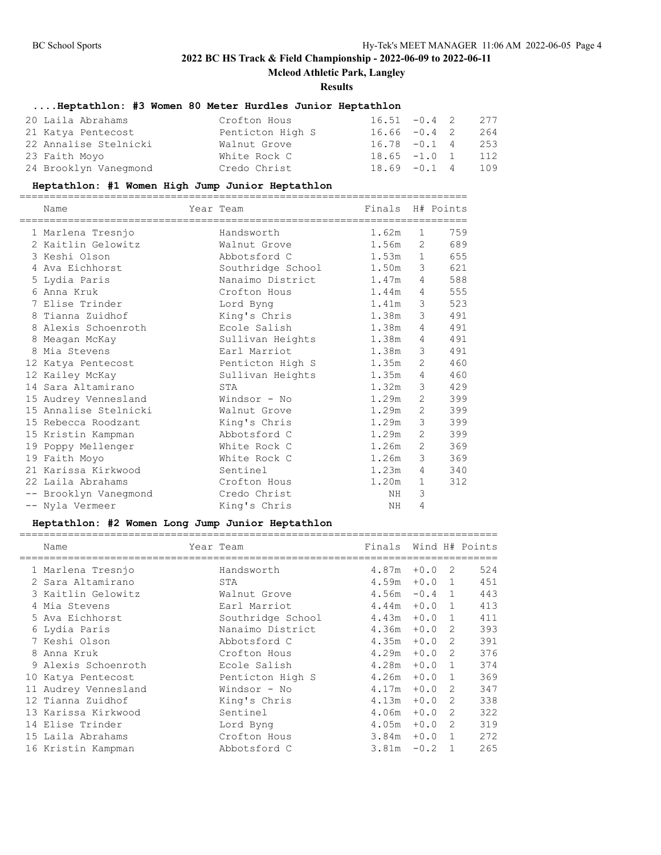**Mcleod Athletic Park, Langley**

#### **Results**

# **....Heptathlon: #3 Women 80 Meter Hurdles Junior Heptathlon**

| 20 Laila Abrahams     | Crofton Hous     | $16.51 - 0.4$ 2 |  | 277 |
|-----------------------|------------------|-----------------|--|-----|
| 21 Katya Pentecost    | Penticton High S | $16.66 - 0.4$ 2 |  | 264 |
| 22 Annalise Stelnicki | Walnut Grove     | $16.78 - 0.1$ 4 |  | 253 |
| 23 Faith Moyo         | White Rock C     | $18.65 -1.0 1$  |  | 112 |
| 24 Brooklyn Vaneqmond | Credo Christ     | $18.69 - 0.1 4$ |  | 109 |

## **Heptathlon: #1 Women High Jump Junior Heptathlon**

| Name                                              | Year Team                                      | Finals H# Points |                       |     |
|---------------------------------------------------|------------------------------------------------|------------------|-----------------------|-----|
| ============================<br>1 Marlena Tresnjo | ================================<br>Handsworth | 1.62m            | $\mathbf{1}$          | 759 |
| 2 Kaitlin Gelowitz                                | Walnut Grove                                   | 1.56m            | 2                     | 689 |
| 3 Keshi Olson                                     | Abbotsford C                                   | $1.53m$ 1        |                       | 655 |
| 4 Ava Eichhorst                                   | Southridge School                              | 1.50m            | 3                     | 621 |
| 5 Lydia Paris                                     | Nanaimo District                               | 1.47m            | 4                     | 588 |
| 6 Anna Kruk                                       | Crofton Hous                                   | 1.44m            | 4                     | 555 |
| 7 Elise Trinder                                   | Lord Byng                                      | 1.41m            | 3                     | 523 |
| 8 Tianna Zuidhof                                  | King's Chris                                   | 1.38m            | 3                     | 491 |
| 8 Alexis Schoenroth                               | Ecole Salish                                   | 1.38m            | 4                     | 491 |
| 8 Meagan McKay                                    | Sullivan Heights                               | 1.38m            | 4                     | 491 |
| 8 Mia Stevens                                     | Earl Marriot                                   | 1.38m            | 3                     | 491 |
| 12 Katya Pentecost                                | Penticton High S                               | 1.35m            | $\mathbf{2}^{\prime}$ | 460 |
| 12 Kailey McKay                                   | Sullivan Heights                               | 1.35m            | 4                     | 460 |
| 14 Sara Altamirano                                | STA                                            | 1.32m            | 3                     | 429 |
| 15 Audrey Vennesland                              | Windsor - No                                   | 1.29m            | $\overline{2}$        | 399 |
| 15 Annalise Stelnicki                             | Walnut Grove                                   | 1.29m            | $\mathbf{2}^{\prime}$ | 399 |
| 15 Rebecca Roodzant                               | King's Chris                                   | 1.29m            | 3                     | 399 |
| 15 Kristin Kampman                                | Abbotsford C                                   | 1.29m            | 2                     | 399 |
| 19 Poppy Mellenger                                | White Rock C                                   | 1.26m            | 2                     | 369 |
| 19 Faith Moyo                                     | White Rock C                                   | 1.26m            | 3                     | 369 |
| 21 Karissa Kirkwood                               | Sentinel                                       | 1.23m            | 4                     | 340 |
| 22 Laila Abrahams                                 | Crofton Hous                                   | 1.20m            | $\mathbf 1$           | 312 |
| -- Brooklyn Vaneqmond                             | Credo Christ                                   | NH               | 3                     |     |
| -- Nyla Vermeer                                   | King's Chris                                   | NH.              | 4                     |     |

### **Heptathlon: #2 Women Long Jump Junior Heptathlon**

|    | Name                | Year Team         | Finals |        |               | Wind H# Points |
|----|---------------------|-------------------|--------|--------|---------------|----------------|
|    | 1 Marlena Tresnjo   | Handsworth        | 4.87m  | $+0.0$ | -2            | 524            |
|    | 2 Sara Altamirano   | STA               | 4.59m  | $+0.0$ | $\mathbf{1}$  | 451            |
|    | 3 Kaitlin Gelowitz  | Walnut Grove      | 4.56m  | $-0.4$ | $\mathbf{1}$  | 443            |
|    | 4 Mia Stevens       | Earl Marriot      | 4.44m  | $+0.0$ | $\mathbf{1}$  | 413            |
|    | 5 Ava Eichhorst     | Southridge School | 4.43m  | $+0.0$ | 1             | 411            |
|    | 6 Lydia Paris       | Nanaimo District  | 4.36m  | $+0.0$ | 2             | 393            |
|    | 7 Keshi Olson       | Abbotsford C      | 4.35m  | $+0.0$ | 2             | 391            |
|    | 8 Anna Kruk         | Crofton Hous      | 4.29m  | $+0.0$ | 2             | 376            |
|    | 9 Alexis Schoenroth | Ecole Salish      | 4.28m  | $+0.0$ | 1             | 374            |
| 10 | Katya Pentecost     | Penticton High S  | 4.26m  | $+0.0$ | 1             | 369            |
| 11 | Audrey Vennesland   | Windsor - No      | 4.17m  | $+0.0$ | 2             | 347            |
|    | 12 Tianna Zuidhof   | King's Chris      | 4.13m  | $+0.0$ | $\mathcal{L}$ | 338            |
|    | 13 Karissa Kirkwood | Sentinel          | 4.06m  | $+0.0$ | 2             | 322            |
|    | 14 Elise Trinder    | Lord Byng         | 4.05m  | $+0.0$ | 2             | 319            |
|    | 15 Laila Abrahams   | Crofton Hous      | 3.84m  | $+0.0$ | $\mathbf{1}$  | 272            |
|    | 16 Kristin Kampman  | Abbotsford C      | 3.81m  | $-0.2$ |               | 265            |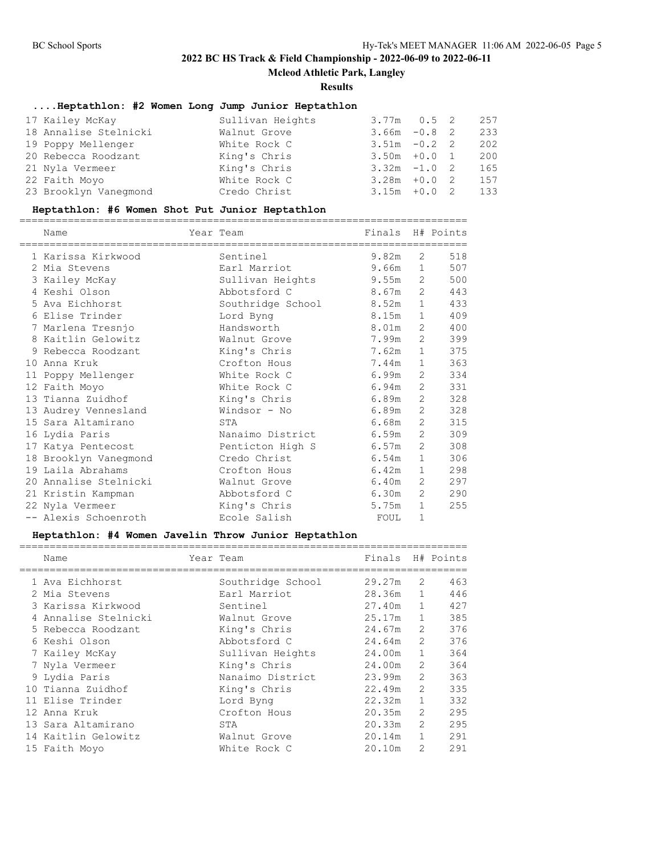**Mcleod Athletic Park, Langley**

**Results**

# **....Heptathlon: #2 Women Long Jump Junior Heptathlon**

| 17 Kailey McKay       | Sullivan Heights | $3.77m$ 0.5 2   |  | 257 |
|-----------------------|------------------|-----------------|--|-----|
| 18 Annalise Stelnicki | Walnut Grove     | $3.66m - 0.82$  |  | 233 |
| 19 Poppy Mellenger    | White Rock C     | $3.51m - 0.22$  |  | 202 |
| 20 Rebecca Roodzant   | King's Chris     | $3.50m + 0.0 1$ |  | 200 |
| 21 Nyla Vermeer       | King's Chris     | $3.32m -1.02$   |  | 165 |
| 22 Faith Moyo         | White Rock C     | $3.28m + 0.02$  |  | 157 |
| 23 Brooklyn Vaneqmond | Credo Christ     | $3.15m + 0.02$  |  | 133 |

# **Heptathlon: #6 Women Shot Put Junior Heptathlon**

| Name                  | Year Team         | Finals |                | H# Points |
|-----------------------|-------------------|--------|----------------|-----------|
| 1 Karissa Kirkwood    | Sentinel          | 9.82m  | $\overline{2}$ | 518       |
| 2 Mia Stevens         | Earl Marriot      | 9.66m  | 1              | 507       |
| 3 Kailey McKay        | Sullivan Heights  | 9.55m  | 2              | 500       |
| 4 Keshi Olson         | Abbotsford C      | 8.67m  | 2              | 443       |
| 5 Ava Eichhorst       | Southridge School | 8.52m  | $\mathbf{1}$   | 433       |
| 6 Elise Trinder       | Lord Byng         | 8.15m  | $\mathbf{1}$   | 409       |
| 7 Marlena Tresnjo     | Handsworth        | 8.01m  | 2              | 400       |
| 8 Kaitlin Gelowitz    | Walnut Grove      | 7.99m  | 2              | 399       |
| 9 Rebecca Roodzant    | King's Chris      | 7.62m  | $\mathbf{1}$   | 375       |
| 10 Anna Kruk          | Crofton Hous      | 7.44m  | $\mathbf{1}$   | 363       |
| 11 Poppy Mellenger    | White Rock C      | 6.99m  | 2              | 334       |
| 12 Faith Moyo         | White Rock C      | 6.94m  | 2              | 331       |
| 13 Tianna Zuidhof     | King's Chris      | 6.89m  | 2              | 328       |
| 13 Audrey Vennesland  | Windsor - No      | 6.89m  | 2              | 328       |
| 15 Sara Altamirano    | STA               | 6.68m  | 2              | 315       |
| 16 Lydia Paris        | Nanaimo District  | 6.59m  | $\overline{2}$ | 309       |
| 17 Katya Pentecost    | Penticton High S  | 6.57m  | 2              | 308       |
| 18 Brooklyn Vanegmond | Credo Christ      | 6.54m  | $\mathbf{1}$   | 306       |
| 19 Laila Abrahams     | Crofton Hous      | 6.42m  | $\mathbf{1}$   | 298       |
| 20 Annalise Stelnicki | Walnut Grove      | 6.40m  | 2              | 297       |
| 21 Kristin Kampman    | Abbotsford C      | 6.30m  | 2              | 290       |
| 22 Nyla Vermeer       | King's Chris      | 5.75m  | 1              | 255       |
| -- Alexis Schoenroth  | Ecole Salish      | FOUL   | 1              |           |

### **Heptathlon: #4 Women Javelin Throw Junior Heptathlon**

| Name                 | Year Team         | Finals H# Points |                |     |
|----------------------|-------------------|------------------|----------------|-----|
|                      |                   |                  |                |     |
| 1 Ava Eichhorst      | Southridge School | 29.27m           | 2              | 463 |
| 2 Mia Stevens        | Earl Marriot      | 28.36m           | $\mathbf{1}$   | 446 |
| 3 Karissa Kirkwood   | Sentinel          | 27.40m           | $\mathbf{1}$   | 427 |
| 4 Annalise Stelnicki | Walnut Grove      | 25.17m           | $\mathbf{1}$   | 385 |
| 5 Rebecca Roodzant   | King's Chris      | 24.67m           | $\overline{2}$ | 376 |
| 6 Keshi Olson        | Abbotsford C      | 24.64m           | 2              | 376 |
| 7 Kailey McKay       | Sullivan Heights  | 24.00m           | $\mathbf{1}$   | 364 |
| 7 Nyla Vermeer       | King's Chris      | 24.00m           | $\overline{2}$ | 364 |
| 9 Lydia Paris        | Nanaimo District  | 23.99m           | $\overline{2}$ | 363 |
| 10 Tianna Zuidhof    | King's Chris      | 22.49m           | $\overline{2}$ | 335 |
| 11 Elise Trinder     | Lord Byng         | 22.32m           | $\mathbf{1}$   | 332 |
| 12 Anna Kruk         | Crofton Hous      | 20.35m           | $\overline{2}$ | 295 |
| 13 Sara Altamirano   | STA               | 20.33m           | 2              | 295 |
| 14 Kaitlin Gelowitz  | Walnut Grove      | 20.14m           | $\mathbf{1}$   | 291 |
| 15 Faith Moyo        | White Rock C      | 20.10m           | $\mathfrak{D}$ | 291 |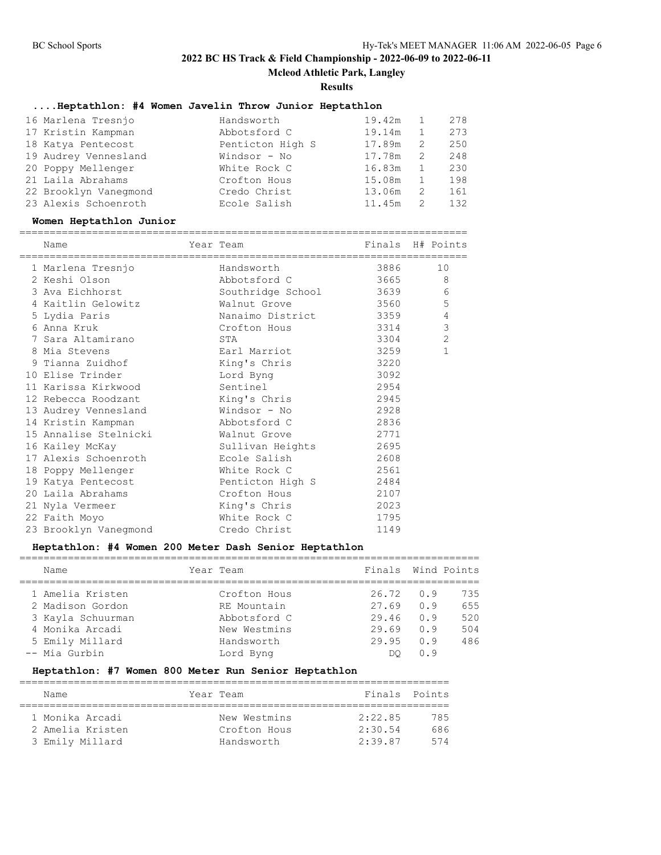**Mcleod Athletic Park, Langley**

**Results**

# **....Heptathlon: #4 Women Javelin Throw Junior Heptathlon**

| 16 Marlena Tresnjo    | Handsworth       | 19.42m |    | 278 |
|-----------------------|------------------|--------|----|-----|
| 17 Kristin Kampman    | Abbotsford C     | 19.14m |    | 273 |
| 18 Katya Pentecost    | Penticton High S | 17.89m | 2  | 250 |
| 19 Audrey Vennesland  | Windsor - No     | 17.78m | 2  | 248 |
| 20 Poppy Mellenger    | White Rock C     | 16.83m |    | 230 |
| 21 Laila Abrahams     | Crofton Hous     | 15.08m |    | 198 |
| 22 Brooklyn Vaneqmond | Credo Christ     | 13.06m | -2 | 161 |
| 23 Alexis Schoenroth  | Ecole Salish     | 11.45m |    | 132 |

#### **Women Heptathlon Junior**

|  | Name                               | Year Team<br>============================= | Finals H# Points |                |
|--|------------------------------------|--------------------------------------------|------------------|----------------|
|  | 1 Marlena Tresnjo                  | Handsworth                                 | 3886 — 1         | 10             |
|  | 2 Keshi Olson                      | Abbotsford C                               | 3665             | 8              |
|  | 3 Ava Eichhorst                    | Southridge School 3639                     |                  | 6              |
|  | 4 Kaitlin Gelowitz                 | Walnut Grove and the 19560                 |                  | 5              |
|  | 5 Lydia Paris                      |                                            |                  | $\overline{4}$ |
|  | 6 Anna Kruk                        | Crofton Hous                               | 3314             | 3              |
|  | 7 Sara Altamirano                  | STA                                        | 3304             | $\overline{2}$ |
|  | 8 Mia Stevens                      | Earl Marriot                               | 3259             | $\mathbf{1}$   |
|  | 9 Tianna Zuidhof                   | King's Chris                               | 3220             |                |
|  | 10 Elise Trinder                   | Lord Byng                                  | 3092             |                |
|  | 11 Karissa Kirkwood                | Sentinel                                   | 2954             |                |
|  | 12 Rebecca Roodzant                | King's Chris                               | 2945             |                |
|  | 13 Audrey Vennesland Mindsor - No  |                                            | 2928             |                |
|  | 14 Kristin Kampman                 | Abbotsford C                               | 2836             |                |
|  | 15 Annalise Stelnicki Malnut Grove |                                            | 2771             |                |
|  | 16 Kailey McKay                    | Sullivan Heights 2695                      |                  |                |
|  | 17 Alexis Schoenroth               | Ecole Salish                               | 2608             |                |
|  | 18 Poppy Mellenger                 | White Rock C                               | 2561             |                |
|  | 19 Katya Pentecost                 | Penticton High S                           | 2484             |                |
|  | 20 Laila Abrahams                  | Crofton Hous                               | 2107             |                |
|  | 21 Nyla Vermeer                    | King's Chris                               | 2023             |                |
|  | 22 Faith Moyo                      | White Rock C                               | 1795             |                |
|  | 23 Brooklyn Vanegmond Credo Christ |                                            | 1149             |                |
|  |                                    |                                            |                  |                |

## **Heptathlon: #4 Women 200 Meter Dash Senior Heptathlon**

| Name              | Year Team    | Finals |     | Wind Points |
|-------------------|--------------|--------|-----|-------------|
| 1 Amelia Kristen  | Crofton Hous | 26.72  | 0.9 | 735         |
| 2 Madison Gordon  | RE Mountain  | 27.69  | 0.9 | 655         |
| 3 Kayla Schuurman | Abbotsford C | 29.46  | 0.9 | 520         |
| 4 Monika Arcadi   | New Westmins | 29.69  | 0.9 | 504         |
| 5 Emily Millard   | Handsworth   | 29.95  | 0.9 | 486         |
| -- Mia Gurbin     | Lord Byng    | DO     | 0.9 |             |
|                   |              |        |     |             |

## **Heptathlon: #7 Women 800 Meter Run Senior Heptathlon**

| Name             |  | Year Team    | Finals Points |     |  |  |  |  |  |
|------------------|--|--------------|---------------|-----|--|--|--|--|--|
|                  |  |              |               |     |  |  |  |  |  |
| 1 Monika Arcadi  |  | New Westmins | 2:22.85       | 785 |  |  |  |  |  |
| 2 Amelia Kristen |  | Crofton Hous | 2:30.54       | 686 |  |  |  |  |  |
| 3 Emily Millard  |  | Handsworth   | 2:39.87       | 574 |  |  |  |  |  |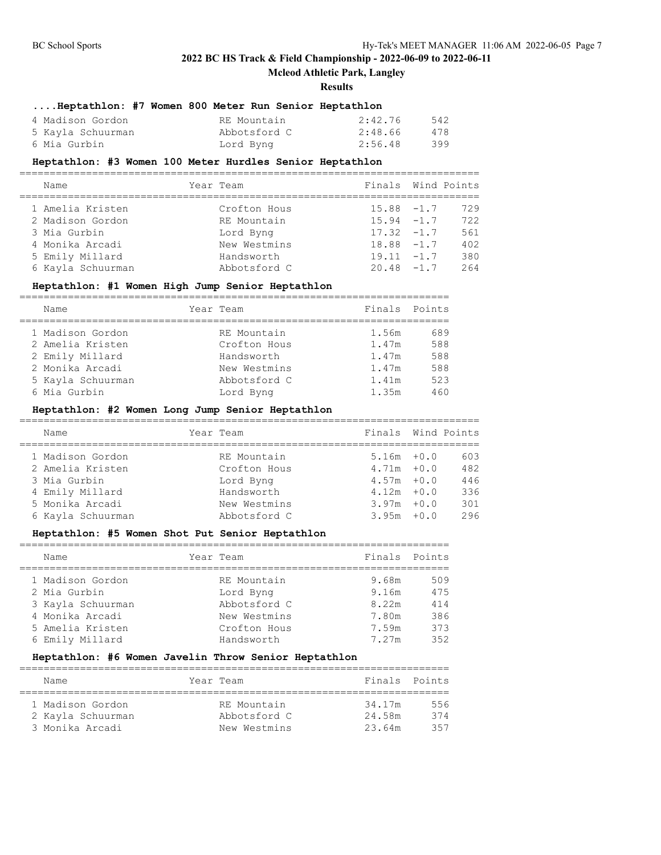## **Mcleod Athletic Park, Langley**

#### **Results**

## **....Heptathlon: #7 Women 800 Meter Run Senior Heptathlon**

| 4 Madison Gordon  | RE Mountain  | 2:42.76 | 542 |
|-------------------|--------------|---------|-----|
| 5 Kayla Schuurman | Abbotsford C | 2:48.66 | 478 |
| 6 Mia Gurbin      | Lord Byng    | 2:56.48 | 399 |

#### **Heptathlon: #3 Women 100 Meter Hurdles Senior Heptathlon**

| Name              | Year Team    | Finals Wind Points |     |
|-------------------|--------------|--------------------|-----|
| 1 Amelia Kristen  | Crofton Hous | $15.88 - 1.7$      | 729 |
| 2 Madison Gordon  | RE Mountain  | $15.94 - 1.7$      | 722 |
| 3 Mia Gurbin      | Lord Byng    | $17.32 - 1.7$      | 561 |
| 4 Monika Arcadi   | New Westmins | $18.88 - 1.7$      | 402 |
| 5 Emily Millard   | Handsworth   | $19.11 - 1.7$      | 380 |
| 6 Kayla Schuurman | Abbotsford C | $20.48 - 1.7$      | 264 |

## **Heptathlon: #1 Women High Jump Senior Heptathlon**

| Name              |  | Year Team    | Finals Points |     |  |  |  |  |
|-------------------|--|--------------|---------------|-----|--|--|--|--|
|                   |  |              |               |     |  |  |  |  |
| 1 Madison Gordon  |  | RE Mountain  | 1.56m         | 689 |  |  |  |  |
| 2 Amelia Kristen  |  | Crofton Hous | 1.47m         | 588 |  |  |  |  |
| 2 Emily Millard   |  | Handsworth   | 1.47m         | 588 |  |  |  |  |
| 2 Monika Arcadi   |  | New Westmins | 1.47m         | 588 |  |  |  |  |
| 5 Kayla Schuurman |  | Abbotsford C | 1.41m         | 523 |  |  |  |  |
| 6 Mia Gurbin      |  | Lord Byng    | 1.35m         | 460 |  |  |  |  |

## **Heptathlon: #2 Women Long Jump Senior Heptathlon**

| Name              | Year Team    | Finals Wind Points |     |
|-------------------|--------------|--------------------|-----|
| 1 Madison Gordon  | RE Mountain  | $5.16m + 0.0$      | 603 |
| 2 Amelia Kristen  | Crofton Hous | $4.71m + 0.0$      | 482 |
| 3 Mia Gurbin      | Lord Byng    | $4.57m + 0.0$      | 446 |
| 4 Emily Millard   | Handsworth   | $4.12m + 0.0$      | 336 |
| 5 Monika Arcadi   | New Westmins | $3.97m + 0.0$      | 301 |
| 6 Kayla Schuurman | Abbotsford C | $3.95m + 0.0$      | 296 |
|                   |              |                    |     |

## **Heptathlon: #5 Women Shot Put Senior Heptathlon**

| Name              | Year Team    | Finals Points |     |
|-------------------|--------------|---------------|-----|
| 1 Madison Gordon  | RE Mountain  | 9.68m         | 509 |
| 2 Mia Gurbin      | Lord Byng    | 9.16m         | 475 |
| 3 Kayla Schuurman | Abbotsford C | 8.22m         | 414 |
| 4 Monika Arcadi   | New Westmins | 7.80m         | 386 |
| 5 Amelia Kristen  | Crofton Hous | 7.59m         | 373 |
| 6 Emily Millard   | Handsworth   | 7.27m         | 352 |

### **Heptathlon: #6 Women Javelin Throw Senior Heptathlon**

| Name              |  |              | Finals Points |     |  |  |  |  |  |
|-------------------|--|--------------|---------------|-----|--|--|--|--|--|
|                   |  |              |               |     |  |  |  |  |  |
| 1 Madison Gordon  |  | RE Mountain  | 34.17m        | 556 |  |  |  |  |  |
| 2 Kayla Schuurman |  | Abbotsford C | 24.58m        | 374 |  |  |  |  |  |
| 3 Monika Arcadi   |  | New Westmins | 23.64m        | 357 |  |  |  |  |  |
|                   |  |              | Year Team     |     |  |  |  |  |  |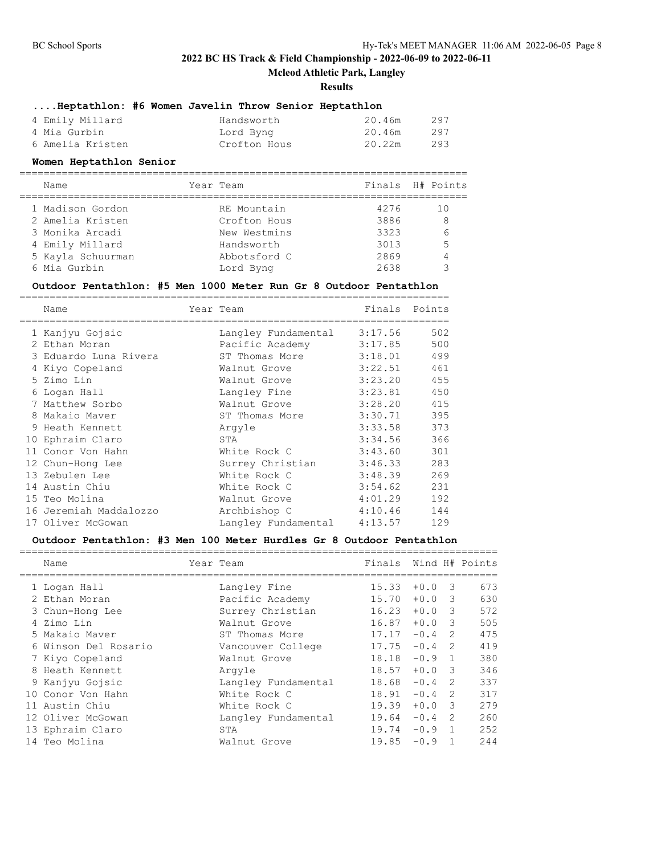**Mcleod Athletic Park, Langley**

#### **Results**

|                 | Heptathlon: #6 Women Javelin Throw Senior Heptathlon |            |        |                      |
|-----------------|------------------------------------------------------|------------|--------|----------------------|
| 4 Emily Millard |                                                      | Handsworth | 20.46m | 297                  |
|                 |                                                      |            |        | $\sim$ $\sim$ $\sim$ |

| 4 Mia Gurbin     | Lord Byng    | 20.46m | 297 |
|------------------|--------------|--------|-----|
| 6 Amelia Kristen | Crofton Hous | 20.22m | 293 |

#### **Women Heptathlon Senior**

| Name              | Year Team    |      | Finals H# Points |
|-------------------|--------------|------|------------------|
| 1 Madison Gordon  | RE Mountain  | 4276 | 1 O              |
| 2 Amelia Kristen  | Crofton Hous | 3886 | 8                |
| 3 Monika Arcadi   | New Westmins | 3323 | 6                |
| 4 Emily Millard   | Handsworth   | 3013 | 5                |
| 5 Kayla Schuurman | Abbotsford C | 2869 |                  |
| 6 Mia Gurbin      | Lord Byng    | 2638 |                  |
|                   |              |      |                  |

### **Outdoor Pentathlon: #5 Men 1000 Meter Run Gr 8 Outdoor Pentathlon**

| Name                   | Year Team           | Finals  | Points |
|------------------------|---------------------|---------|--------|
| 1 Kanjyu Gojsic        | Langley Fundamental | 3:17.56 | 502    |
| 2 Ethan Moran          | Pacific Academy     | 3:17.85 | 500    |
| 3 Eduardo Luna Rivera  | ST Thomas More      | 3:18.01 | 499    |
| 4 Kiyo Copeland        | Walnut Grove        | 3:22.51 | 461    |
| 5 Zimo Lin             | Walnut Grove        | 3:23.20 | 455    |
| 6 Logan Hall           | Langley Fine        | 3:23.81 | 450    |
| 7 Matthew Sorbo        | Walnut Grove        | 3:28.20 | 415    |
| 8 Makaio Maver         | ST Thomas More      | 3:30.71 | 395    |
| 9 Heath Kennett        | Arqyle              | 3:33.58 | 373    |
| 10 Ephraim Claro       | STA                 | 3:34.56 | 366    |
| 11 Conor Von Hahn      | White Rock C        | 3:43.60 | 301    |
| 12 Chun-Hong Lee       | Surrey Christian    | 3:46.33 | 283    |
| 13 Zebulen Lee         | White Rock C        | 3:48.39 | 269    |
| 14 Austin Chiu         | White Rock C        | 3:54.62 | 231    |
| 15 Teo Molina          | Walnut Grove        | 4:01.29 | 192    |
| 16 Jeremiah Maddalozzo | Archbishop C        | 4:10.46 | 144    |
| 17 Oliver McGowan      | Langley Fundamental | 4:13.57 | 129    |

# **Outdoor Pentathlon: #3 Men 100 Meter Hurdles Gr 8 Outdoor Pentathlon**

|    | Name                 | Year Team           | Finals |          |                         | Wind H# Points |
|----|----------------------|---------------------|--------|----------|-------------------------|----------------|
|    | 1 Logan Hall         | Langley Fine        | 15.33  | $+0.0$   | -3                      | 673            |
|    | 2 Ethan Moran        | Pacific Academy     | 15.70  | $+0.0$   | $\overline{\mathbf{3}}$ | 630            |
|    | 3 Chun-Hong Lee      | Surrey Christian    | 16.23  | $+0.0$ 3 |                         | 572            |
|    | 4 Zimo Lin           | Walnut Grove        | 16.87  | $+0.0$   | $\overline{\mathbf{3}}$ | 505            |
|    | 5 Makaio Maver       | ST Thomas More      | 17.17  | $-0.4$   | 2                       | 475            |
|    | 6 Winson Del Rosario | Vancouver College   | 17.75  | $-0.4$   | $\mathcal{L}$           | 419            |
|    | 7 Kiyo Copeland      | Walnut Grove        | 18.18  | $-0.9$ 1 |                         | 380            |
|    | 8 Heath Kennett      | Arqyle              | 18.57  | $+0.03$  |                         | 346            |
|    | 9 Kanjyu Gojsic      | Langley Fundamental | 18.68  | $-0.4$   | -2                      | 337            |
|    | 10 Conor Von Hahn    | White Rock C        | 18.91  | $-0.4$   | $\mathcal{P}$           | 317            |
| 11 | Austin Chiu          | White Rock C        | 19.39  | $+0.0$   | $\overline{\mathbf{3}}$ | 279            |
|    | 12 Oliver McGowan    | Langley Fundamental | 19.64  | $-0.4$   | $\mathcal{P}$           | 260            |
|    | 13 Ephraim Claro     | STA                 | 19.74  | $-0.9$   | $\overline{1}$          | 252            |
|    | 14 Teo Molina        | Walnut Grove        | 19.85  | $-0.9$   |                         | 244            |
|    |                      |                     |        |          |                         |                |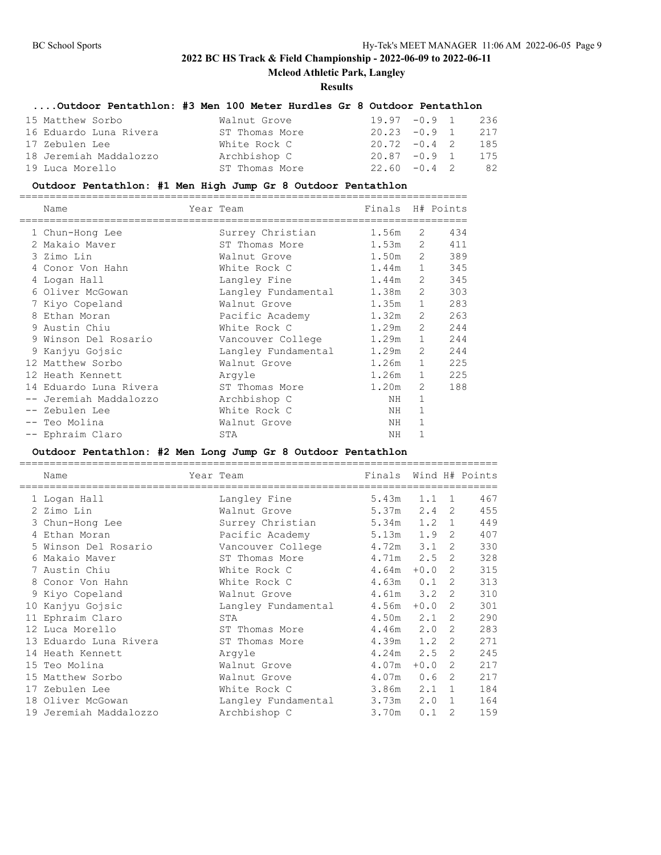## **Mcleod Athletic Park, Langley**

### **Results**

## **....Outdoor Pentathlon: #3 Men 100 Meter Hurdles Gr 8 Outdoor Pentathlon**

| 15 Matthew Sorbo       | Walnut Grove   | $19.97 - 0.9$ 1 236 |  |     |
|------------------------|----------------|---------------------|--|-----|
| 16 Eduardo Luna Rivera | ST Thomas More | $20.23 -0.9$ 1      |  | 217 |
| 17 Zebulen Lee         | White Rock C   | $20.72 - 0.4$ 2     |  | 185 |
| 18 Jeremiah Maddalozzo | Archbishop C   | $20.87 - 0.9$ 1 175 |  |     |
| 19 Luca Morello        | ST Thomas More | $22.60 - 0.4$ 2     |  | 82  |

### **Outdoor Pentathlon: #1 Men High Jump Gr 8 Outdoor Pentathlon**

|   | Name                   | Year Team           | Finals H# Points |                |                               |
|---|------------------------|---------------------|------------------|----------------|-------------------------------|
|   | 1 Chun-Hong Lee        | Surrey Christian    | 1.56m            | 2              | 434                           |
|   | 2 Makaio Maver         | ST Thomas More      | 1.53m            | 2              | 411                           |
|   | 3 Zimo Lin             | Walnut Grove        | 1.50m            | 2              | 389                           |
|   | Conor Von Hahn         | White Rock C        | 1.44m            |                | $1 \quad \blacksquare$<br>345 |
|   | 4 Logan Hall           | Langley Fine        | 1.44m            | 2              | 345                           |
|   | 6 Oliver McGowan       | Langley Fundamental | 1.38m            | 2              | 303                           |
|   | 7 Kiyo Copeland        | Walnut Grove        | 1.35m            | $\mathbf{1}$   | 283                           |
| 8 | Ethan Moran            | Pacific Academy     | 1.32m            | 2              | 263                           |
|   | 9 Austin Chiu          | White Rock C        | 1.29m            | 2              | 244                           |
|   | 9 Winson Del Rosario   | Vancouver College   | 1.29m            | $\mathbf{1}$   | 244                           |
|   | 9 Kanjyu Gojsic        | Langley Fundamental | 1.29m            | 2              | 244                           |
|   | 12 Matthew Sorbo       | Walnut Grove        | 1.26m            | $\mathbf{1}$   | 225                           |
|   | 12 Heath Kennett       | Arqyle              | 1.26m            | $\mathbf{1}$   | 225                           |
|   | 14 Eduardo Luna Rivera | ST Thomas More      | 1.20m            | $\overline{2}$ | 188                           |
|   | -- Jeremiah Maddalozzo | Archbishop C        | NH.              | $\mathbf{1}$   |                               |
|   | -- Zebulen Lee         | White Rock C        | NH.              | 1              |                               |
|   | -- Teo Molina          | Walnut Grove        | NH               | $\mathbf{1}$   |                               |
|   | -- Ephraim Claro       | STA                 | NH               |                |                               |

#### **Outdoor Pentathlon: #2 Men Long Jump Gr 8 Outdoor Pentathlon**

|    | Name                   | Year Team<br>============== | Finals |        |               | Wind H# Points |
|----|------------------------|-----------------------------|--------|--------|---------------|----------------|
|    | 1 Logan Hall           | Langley Fine                | 5.43m  | 1.1    | $\mathbf{1}$  | 467            |
|    | 2 Zimo Lin             | Walnut Grove                | 5.37m  | 2.4    | 2             | 455            |
|    | 3 Chun-Hong Lee        | Surrey Christian            | 5.34m  | 1.2    | $\mathbf{1}$  | 449            |
|    | 4 Ethan Moran          | Pacific Academy             | 5.13m  | 1.9    | 2             | 407            |
| 5. | Winson Del Rosario     | Vancouver College           | 4.72m  | 3.1    | 2             | 330            |
|    | 6 Makaio Maver         | ST Thomas More              | 4.71m  | 2.5    | 2             | 328            |
|    | 7 Austin Chiu          | White Rock C                | 4.64m  | $+0.0$ | 2             | 315            |
|    | 8 Conor Von Hahn       | White Rock C                | 4.63m  | 0.1    | 2             | 313            |
|    | 9 Kiyo Copeland        | Walnut Grove                | 4.61m  | 3.2    | 2             | 310            |
|    | 10 Kanjyu Gojsic       | Langley Fundamental         | 4.56m  | $+0.0$ | 2             | 301            |
|    | 11 Ephraim Claro       | STA                         | 4.50m  | 2.1    | 2             | 290            |
|    | 12 Luca Morello        | ST Thomas More              | 4.46m  | 2.0    | 2             | 283            |
|    | 13 Eduardo Luna Rivera | ST Thomas More              | 4.39m  | 1.2    | $\mathcal{L}$ | 271            |
|    | 14 Heath Kennett       | Arqyle                      | 4.24m  | 2.5    | 2             | 245            |
|    | 15 Teo Molina          | Walnut Grove                | 4.07m  | $+0.0$ | 2             | 217            |
|    | 15 Matthew Sorbo       | Walnut Grove                | 4.07m  | 0.6    | 2             | 217            |
|    | 17 Zebulen Lee         | White Rock C                | 3.86m  | 2.1    | 1             | 184            |
|    | 18 Oliver McGowan      | Langley Fundamental         | 3.73m  | 2.0    | 1             | 164            |
|    | 19 Jeremiah Maddalozzo | Archbishop C                | 3.70m  | 0.1    | 2             | 159            |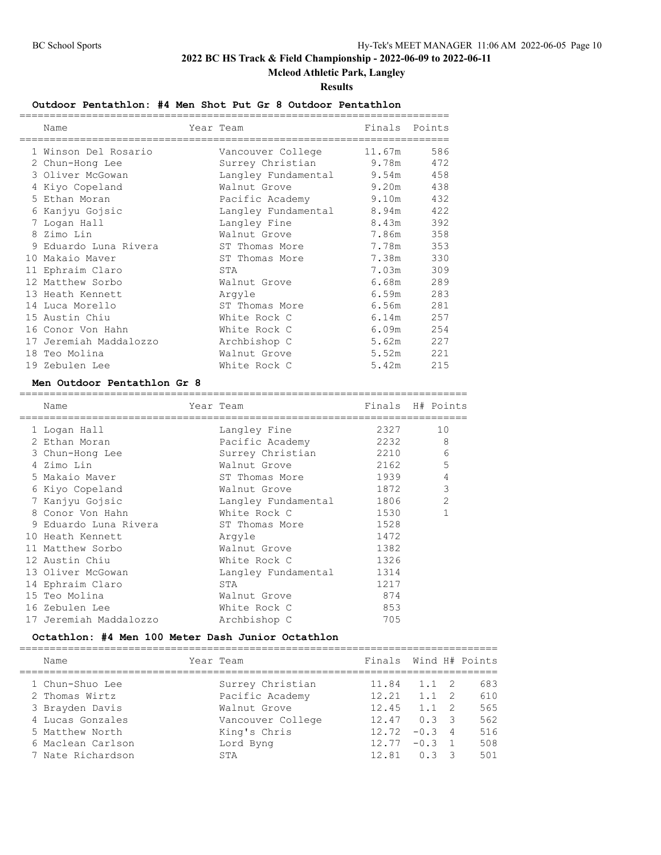# **Mcleod Athletic Park, Langley**

#### **Results**

## **Outdoor Pentathlon: #4 Men Shot Put Gr 8 Outdoor Pentathlon**

|   | ===========<br>Name    | Year Team              | Finals | Points |
|---|------------------------|------------------------|--------|--------|
|   | 1 Winson Del Rosario   | Vancouver College      | 11.67m | 586    |
|   | 2 Chun-Hong Lee        | Surrey Christian 9.78m |        | 472    |
|   | 3 Oliver McGowan       | Langley Fundamental    | 9.54m  | 458    |
|   | 4 Kiyo Copeland        | Walnut Grove           | 9.20m  | 438    |
|   | 5 Ethan Moran          | Pacific Academy        | 9.10m  | 432    |
| 6 | Kanjyu Gojsic          | Langley Fundamental    | 8.94m  | 422    |
|   | 7 Logan Hall           | Langley Fine           | 8.43m  | 392    |
|   | 8 Zimo Lin             | Walnut Grove           | 7.86m  | 358    |
| 9 | Eduardo Luna Rivera    | ST Thomas More         | 7.78m  | 353    |
|   | 10 Makaio Maver        | ST Thomas More         | 7.38m  | 330    |
|   | 11 Ephraim Claro       | STA                    | 7.03m  | 309    |
|   | 12 Matthew Sorbo       | Walnut Grove           | 6.68m  | 289    |
|   | 13 Heath Kennett       | Arqyle                 | 6.59m  | 283    |
|   | 14 Luca Morello        | ST Thomas More         | 6.56m  | 281    |
|   | 15 Austin Chiu         | White Rock C           | 6.14m  | 257    |
|   | 16 Conor Von Hahn      | White Rock C           | 6.09m  | 254    |
|   | 17 Jeremiah Maddalozzo | Archbishop C           | 5.62m  | 227    |
|   | 18 Teo Molina          | Walnut Grove           | 5.52m  | 221    |
|   | 19 Zebulen Lee         | White Rock C           | 5.42m  | 215    |

#### **Men Outdoor Pentathlon Gr 8**

| Name                   |                     |                                                    |                                                                                |
|------------------------|---------------------|----------------------------------------------------|--------------------------------------------------------------------------------|
| 1 Logan Hall           | Langley Fine        |                                                    | 10                                                                             |
| 2 Ethan Moran          | Pacific Academy     |                                                    | 8                                                                              |
| 3 Chun-Hong Lee        | Surrey Christian    |                                                    | 6                                                                              |
| 4 Zimo Lin             | Walnut Grove        |                                                    | 5                                                                              |
| 5 Makaio Maver         | ST Thomas More      |                                                    | 4                                                                              |
| 6 Kiyo Copeland        | Walnut Grove        |                                                    | 3                                                                              |
| 7 Kanjyu Gojsic        |                     |                                                    | $\overline{2}$                                                                 |
| 8 Conor Von Hahn       | White Rock C        | 1530                                               |                                                                                |
| 9 Eduardo Luna Rivera  |                     | 1528                                               |                                                                                |
| 10 Heath Kennett       | Arqyle              | 1472                                               |                                                                                |
| 11 Matthew Sorbo       | Walnut Grove        | 1382                                               |                                                                                |
| 12 Austin Chiu         | White Rock C        | 1326                                               |                                                                                |
| 13 Oliver McGowan      | Langley Fundamental | 1314                                               |                                                                                |
| 14 Ephraim Claro       | STA                 | 1217                                               |                                                                                |
| 15 Teo Molina          | Walnut Grove        | 874                                                |                                                                                |
| 16 Zebulen Lee         | White Rock C        | 853                                                |                                                                                |
| 17 Jeremiah Maddalozzo | Archbishop C        | 705                                                |                                                                                |
|                        |                     | Year Team<br>Langley Fundamental<br>ST Thomas More | Finals H# Points<br>2327<br>2232<br>2210<br>2162<br>1939<br>1872<br>1806 - 180 |

### **Octathlon: #4 Men 100 Meter Dash Junior Octathlon**

| Name              | Year Team |                   | Finals Wind H# Points |               |                |     |
|-------------------|-----------|-------------------|-----------------------|---------------|----------------|-----|
| 1 Chun-Shuo Lee   |           | Surrey Christian  | 11.84                 | $1.1 \quad 2$ |                | 683 |
| 2 Thomas Wirtz    |           | Pacific Academy   | 12.21                 | 1.1           | $\overline{2}$ | 610 |
| 3 Brayden Davis   |           | Walnut Grove      | 12.45                 | 1.1           | $\overline{2}$ | 565 |
| 4 Lucas Gonzales  |           | Vancouver College | 12.47                 | $0.3 \quad 3$ |                | 562 |
| 5 Matthew North   |           | King's Chris      | 12.72                 | $-0.34$       |                | 516 |
| 6 Maclean Carlson |           | Lord Byng         | 12.77                 | $-0.3$        |                | 508 |
| 7 Nate Richardson |           | STA               | 12.81                 | 0 3           |                | 501 |
|                   |           |                   |                       |               |                |     |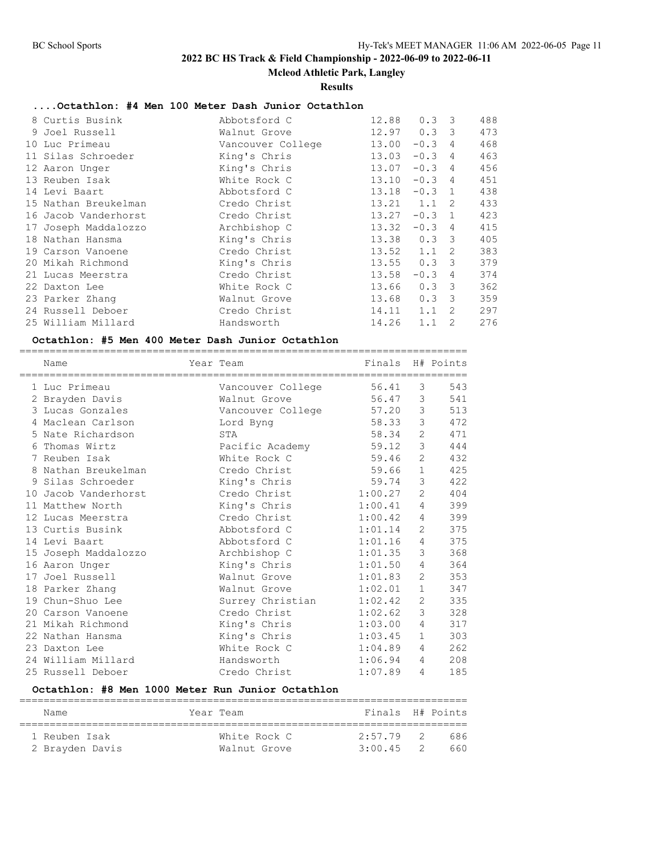**Mcleod Athletic Park, Langley**

#### **Results**

# **....Octathlon: #4 Men 100 Meter Dash Junior Octathlon**

|    | 8 Curtis Busink      | Abbotsford C      | 12.88 | 0.3      | -3             | 488 |
|----|----------------------|-------------------|-------|----------|----------------|-----|
|    | 9 Joel Russell       | Walnut Grove      | 12.97 | 0.3      | 3              | 473 |
| 10 | Luc Primeau          | Vancouver College | 13.00 | $-0.3$   | 4              | 468 |
|    | 11 Silas Schroeder   | King's Chris      | 13.03 | $-0.3$   | 4              | 463 |
|    | 12 Aaron Unger       | King's Chris      | 13.07 | $-0.3$   | 4              | 456 |
|    | 13 Reuben Isak       | White Rock C      | 13.10 | $-0.3$   | 4              | 451 |
|    | 14 Levi Baart        | Abbotsford C      | 13.18 | $-0.3$ 1 |                | 438 |
|    | 15 Nathan Breukelman | Credo Christ      | 13.21 | 1.1      | 2              | 433 |
|    | 16 Jacob Vanderhorst | Credo Christ      | 13.27 | $-0.3$   | $\overline{1}$ | 423 |
|    | 17 Joseph Maddalozzo | Archbishop C      | 13.32 | $-0.3$   | 4              | 415 |
|    | 18 Nathan Hansma     | King's Chris      | 13.38 | 0.3      | -3             | 405 |
|    | 19 Carson Vanoene    | Credo Christ      | 13.52 | 1.1      | 2              | 383 |
|    | 20 Mikah Richmond    | King's Chris      | 13.55 | 0.3      | 3              | 379 |
|    | 21 Lucas Meerstra    | Credo Christ      | 13.58 | $-0.3$   | 4              | 374 |
|    | 22 Daxton Lee        | White Rock C      | 13.66 | 0.3      | 3              | 362 |
|    | 23 Parker Zhang      | Walnut Grove      | 13.68 | 0.3      | 3              | 359 |
|    | 24 Russell Deboer    | Credo Christ      | 14.11 | 1.1      | 2              | 297 |
|    | 25 William Millard   | Handsworth        | 14.26 | 1.1      | 2              | 276 |

### **Octathlon: #5 Men 400 Meter Dash Junior Octathlon**

| Name                 | Year Team         | Finals  |              | H# Points |
|----------------------|-------------------|---------|--------------|-----------|
| 1 Luc Primeau        | Vancouver College | 56.41   | 3            | 543       |
| 2 Brayden Davis      | Walnut Grove      | 56.47   | 3            | 541       |
| 3 Lucas Gonzales     | Vancouver College | 57.20   | 3            | 513       |
| 4 Maclean Carlson    | Lord Byng         | 58.33   | 3            | 472       |
| 5 Nate Richardson    | STA               | 58.34   | 2            | 471       |
| 6 Thomas Wirtz       | Pacific Academy   | 59.12   | 3            | 444       |
| 7 Reuben Isak        | White Rock C      | 59.46   | 2            | 432       |
| 8 Nathan Breukelman  | Credo Christ      | 59.66   | $\mathbf 1$  | 425       |
| 9 Silas Schroeder    | King's Chris      | 59.74   | 3            | 422       |
| 10 Jacob Vanderhorst | Credo Christ      | 1:00.27 | 2            | 404       |
| 11 Matthew North     | King's Chris      | 1:00.41 | 4            | 399       |
| 12 Lucas Meerstra    | Credo Christ      | 1:00.42 | 4            | 399       |
| 13 Curtis Busink     | Abbotsford C      | 1:01.14 | 2            | 375       |
| 14 Levi Baart        | Abbotsford C      | 1:01.16 | 4            | 375       |
| 15 Joseph Maddalozzo | Archbishop C      | 1:01.35 | 3            | 368       |
| 16 Aaron Unger       | King's Chris      | 1:01.50 | 4            | 364       |
| 17 Joel Russell      | Walnut Grove      | 1:01.83 | 2            | 353       |
| 18 Parker Zhang      | Walnut Grove      | 1:02.01 | $\mathbf{1}$ | 347       |
| 19 Chun-Shuo Lee     | Surrey Christian  | 1:02.42 | 2            | 335       |
| 20 Carson Vanoene    | Credo Christ      | 1:02.62 | 3            | 328       |
| 21 Mikah Richmond    | King's Chris      | 1:03.00 | 4            | 317       |
| 22 Nathan Hansma     | King's Chris      | 1:03.45 | $\mathbf{1}$ | 303       |
| 23 Daxton Lee        | White Rock C      | 1:04.89 | 4            | 262       |
| 24 William Millard   | Handsworth        | 1:06.94 | 4            | 208       |
| 25 Russell Deboer    | Credo Christ      | 1:07.89 | 4            | 185       |

==========================================================================

## **Octathlon: #8 Men 1000 Meter Run Junior Octathlon**

| Name            | Year Team    | Finals H# Points |     |     |
|-----------------|--------------|------------------|-----|-----|
| 1 Reuben Isak   | White Rock C | 2:57.79          | - 2 | 686 |
| 2 Brayden Davis | Walnut Grove | 3:00.45          | -2. | 660 |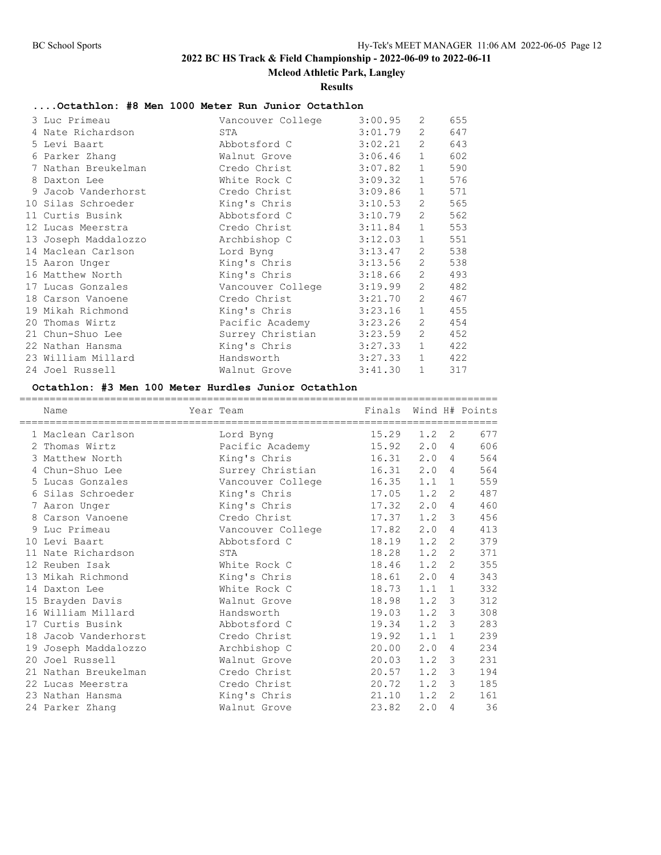**Mcleod Athletic Park, Langley**

**Results**

# **....Octathlon: #8 Men 1000 Meter Run Junior Octathlon**

| 3 Luc Primeau        | Vancouver College | 3:00.95 | 2                     | 655 |
|----------------------|-------------------|---------|-----------------------|-----|
| 4 Nate Richardson    | STA               | 3:01.79 | $\overline{2}$        | 647 |
| 5 Levi Baart         | Abbotsford C      | 3:02.21 | $\overline{2}$        | 643 |
| 6 Parker Zhang       | Walnut Grove      | 3:06.46 | $\mathbf{1}$          | 602 |
| 7 Nathan Breukelman  | Credo Christ      | 3:07.82 | $\mathbf{1}$          | 590 |
| 8 Daxton Lee         | White Rock C      | 3:09.32 | $\mathbf{1}$          | 576 |
| 9 Jacob Vanderhorst  | Credo Christ      | 3:09.86 | $\mathbf{1}$          | 571 |
| 10 Silas Schroeder   | King's Chris      | 3:10.53 | $2^{\circ}$           | 565 |
| 11 Curtis Busink     | Abbotsford C      | 3:10.79 | 2                     | 562 |
| 12 Lucas Meerstra    | Credo Christ      | 3:11.84 | $\mathbf{1}$          | 553 |
| 13 Joseph Maddalozzo | Archbishop C      | 3:12.03 | $\mathbf{1}$          | 551 |
| 14 Maclean Carlson   | Lord Byng         | 3:13.47 | 2                     | 538 |
| 15 Aaron Unger       | King's Chris      | 3:13.56 | 2                     | 538 |
| 16 Matthew North     | King's Chris      | 3:18.66 | 2                     | 493 |
| 17 Lucas Gonzales    | Vancouver College | 3:19.99 | $\mathbf{2}^{\prime}$ | 482 |
| 18 Carson Vanoene    | Credo Christ      | 3:21.70 | $\overline{2}$        | 467 |
| 19 Mikah Richmond    | King's Chris      | 3:23.16 | $\mathbf{1}$          | 455 |
| 20 Thomas Wirtz      | Pacific Academy   | 3:23.26 | $\mathbf{2}^{\prime}$ | 454 |
| 21 Chun-Shuo Lee     | Surrey Christian  | 3:23.59 | $\overline{2}$        | 452 |
| 22 Nathan Hansma     | King's Chris      | 3:27.33 | $\mathbf{1}$          | 422 |
| 23 William Millard   | Handsworth        | 3:27.33 | $\mathbf{1}$          | 422 |
| 24 Joel Russell      | Walnut Grove      | 3:41.30 | $\mathbf{1}$          | 317 |

#### **Octathlon: #3 Men 100 Meter Hurdles Junior Octathlon**

| Name                 | Year Team         | Finals Wind H# Points |     |   |     |
|----------------------|-------------------|-----------------------|-----|---|-----|
| 1 Maclean Carlson    |                   | 15.29                 | 1.2 | 2 | 677 |
| 2 Thomas Wirtz       | Lord Byng         | 15.92                 | 2.0 | 4 | 606 |
|                      | Pacific Academy   |                       |     |   | 564 |
| 3 Matthew North      | King's Chris      | 16.31                 | 2.0 | 4 |     |
| 4 Chun-Shuo Lee      | Surrey Christian  | 16.31                 | 2.0 | 4 | 564 |
| 5 Lucas Gonzales     | Vancouver College | 16.35                 | 1.1 | 1 | 559 |
| 6 Silas Schroeder    | King's Chris      | 17.05                 | 1.2 | 2 | 487 |
| 7 Aaron Unger        | King's Chris      | 17.32                 | 2.0 | 4 | 460 |
| 8 Carson Vanoene     | Credo Christ      | 17.37                 | 1.2 | 3 | 456 |
| 9 Luc Primeau        | Vancouver College | 17.82                 | 2.0 | 4 | 413 |
| 10 Levi Baart        | Abbotsford C      | 18.19                 | 1.2 | 2 | 379 |
| 11 Nate Richardson   | STA               | 18.28                 | 1.2 | 2 | 371 |
| 12 Reuben Isak       | White Rock C      | 18.46                 | 1.2 | 2 | 355 |
| 13 Mikah Richmond    | King's Chris      | 18.61                 | 2.0 | 4 | 343 |
| 14 Daxton Lee        | White Rock C      | 18.73                 | 1.1 | 1 | 332 |
| 15 Brayden Davis     | Walnut Grove      | 18.98                 | 1.2 | 3 | 312 |
| 16 William Millard   | Handsworth        | 19.03                 | 1.2 | 3 | 308 |
| 17 Curtis Busink     | Abbotsford C      | 19.34                 | 1.2 | 3 | 283 |
| 18 Jacob Vanderhorst | Credo Christ      | 19.92                 | 1.1 | 1 | 239 |
| 19 Joseph Maddalozzo | Archbishop C      | 20.00                 | 2.0 | 4 | 234 |
| 20 Joel Russell      | Walnut Grove      | 20.03                 | 1.2 | 3 | 231 |
| 21 Nathan Breukelman | Credo Christ      | 20.57                 | 1.2 | 3 | 194 |
| 22 Lucas Meerstra    | Credo Christ      | 20.72                 | 1.2 | 3 | 185 |
| 23 Nathan Hansma     | King's Chris      | 21.10                 | 1.2 | 2 | 161 |
| 24 Parker Zhang      | Walnut Grove      | 23.82                 | 2.0 | 4 | 36  |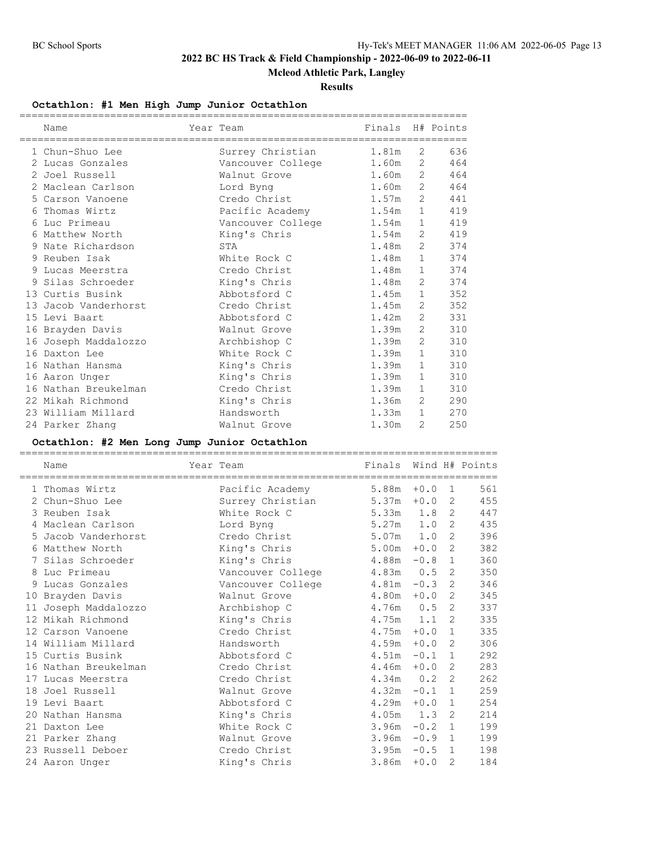**Mcleod Athletic Park, Langley**

**Results**

#### **Octathlon: #1 Men High Jump Junior Octathlon**

|   | Name                 | Year Team         | Finals |                       | H# Points                             |
|---|----------------------|-------------------|--------|-----------------------|---------------------------------------|
|   |                      |                   |        |                       |                                       |
|   | 1 Chun-Shuo Lee      | Surrey Christian  | 1.81m  | 2                     | 636                                   |
|   | 2 Lucas Gonzales     | Vancouver College | 1.60m  |                       | $2 \left( \frac{1}{2} \right)$<br>464 |
|   | 2 Joel Russell       | Walnut Grove      | 1.60m  |                       | $2 \left( \frac{1}{2} \right)$<br>464 |
|   | 2 Maclean Carlson    | Lord Byng         | 1.60m  |                       | $2 \left( \frac{1}{2} \right)$<br>464 |
| 5 | Carson Vanoene       | Credo Christ      | 1.57m  |                       | $2 \left( \frac{1}{2} \right)$<br>441 |
| 6 | Thomas Wirtz         | Pacific Academy   | 1.54m  |                       | 419<br>$1 \quad \blacksquare$         |
| 6 | Luc Primeau          | Vancouver College | 1.54m  | $\mathbf{1}$          | 419                                   |
| 6 | Matthew North        | King's Chris      | 1.54m  |                       | $2^{\circ}$<br>419                    |
| 9 | Nate Richardson      | STA               | 1.48m  | 2                     | 374                                   |
|   | 9 Reuben Isak        | White Rock C      | 1.48m  | $\mathbf 1$           | 374                                   |
|   | 9 Lucas Meerstra     | Credo Christ      | 1.48m  | $\mathbf{1}$          | 374                                   |
| 9 | Silas Schroeder      | King's Chris      | 1.48m  | 2                     | 374                                   |
|   | 13 Curtis Busink     | Abbotsford C      | 1.45m  | $\mathbf{1}$          | 352                                   |
|   | 13 Jacob Vanderhorst | Credo Christ      | 1.45m  | 2                     | 352                                   |
|   | 15 Levi Baart        | Abbotsford C      | 1.42m  | 2                     | 331                                   |
|   | 16 Brayden Davis     | Walnut Grove      | 1.39m  | $\mathbf{2}^{\prime}$ | 310                                   |
|   | 16 Joseph Maddalozzo | Archbishop C      | 1.39m  | $\overline{2}$        | 310                                   |
|   | 16 Daxton Lee        | White Rock C      | 1.39m  | $\mathbf{1}$          | 310                                   |
|   | 16 Nathan Hansma     | King's Chris      | 1.39m  | $\mathbf 1$           | 310                                   |
|   | 16 Aaron Unger       | King's Chris      | 1.39m  | $\mathbf{1}$          | 310                                   |
|   | 16 Nathan Breukelman | Credo Christ      | 1.39m  | $\mathbf{1}$          | 310                                   |
|   | 22 Mikah Richmond    | King's Chris      | 1.36m  | 2                     | 290                                   |
|   | 23 William Millard   | Handsworth        | 1.33m  | $\mathbf{1}$          | 270                                   |
|   | 24 Parker Zhang      | Walnut Grove      | 1.30m  | 2                     | 250                                   |

#### **Octathlon: #2 Men Long Jump Junior Octathlon**

=============================================================================== Name **Name** Year Team Finals Wind H# Points =============================================================================== 1 Thomas Wirtz Pacific Academy 5.88m +0.0 1 561 2 Chun-Shuo Lee Surrey Christian 5.37m +0.0 2 455 3 Reuben Isak White Rock C 5.33m 1.8 2 447 4 Maclean Carlson Lord Byng 5.27m 1.0 2 435 5 Jacob Vanderhorst Credo Christ 5.07m 1.0 2 396 6 Matthew North King's Chris 5.00m +0.0 2 382 7 Silas Schroeder King's Chris 4.88m -0.8 1 360 8 Luc Primeau Vancouver College 4.83m 0.5 2 350 9 Lucas Gonzales Vancouver College 4.81m -0.3 2 346 10 Brayden Davis Walnut Grove 4.80m +0.0 2 345 11 Joseph Maddalozzo Archbishop C 4.76m 0.5 2 337 12 Mikah Richmond King's Chris 4.75m 1.1 2 335 12 Carson Vanoene Credo Christ 4.75m +0.0 1 335 14 William Millard Handsworth 4.59m +0.0 2 306 15 Curtis Busink Abbotsford C 4.51m -0.1 1 292 16 Nathan Breukelman Credo Christ 4.46m +0.0 2 283 17 Lucas Meerstra Credo Christ 4.34m 0.2 2 262 18 Joel Russell Walnut Grove 4.32m -0.1 1 259 19 Levi Baart Abbotsford C 4.29m +0.0 1 254 20 Nathan Hansma King's Chris 4.05m 1.3 2 214 21 Daxton Lee White Rock C 3.96m -0.2 1 199 21 Parker Zhang Walnut Grove 3.96m -0.9 1 199 23 Russell Deboer Credo Christ 3.95m -0.5 1 198 24 Aaron Unger King's Chris 3.86m +0.0 2 184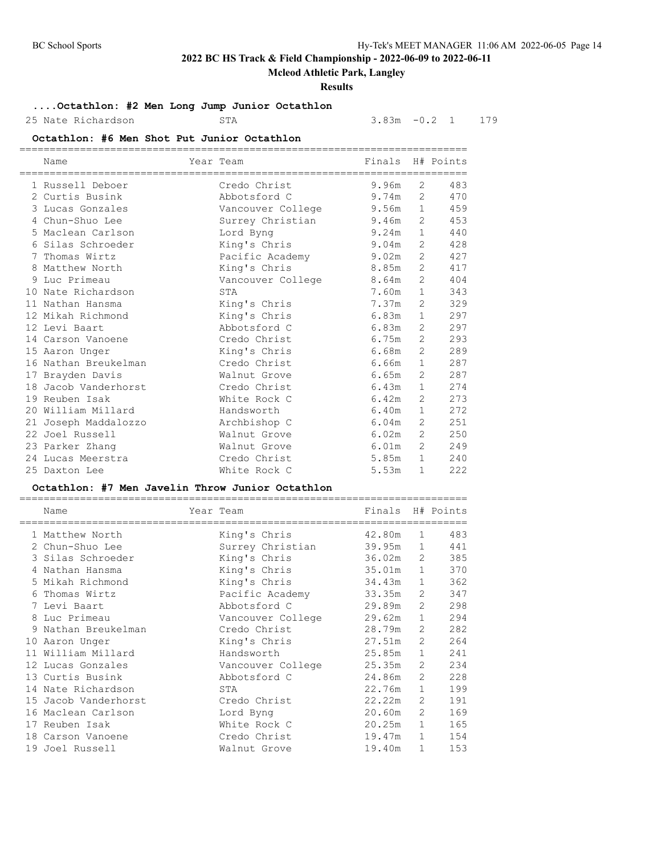# **Mcleod Athletic Park, Langley**

### **Results**

# **....Octathlon: #2 Men Long Jump Junior Octathlon**

```
25 Nate Richardson STA STA 3.83m -0.2 1 179
```
### **Octathlon: #6 Men Shot Put Junior Octathlon**

|    | Name                 | Year Team         | Finals |                       | H# Points |
|----|----------------------|-------------------|--------|-----------------------|-----------|
|    | 1 Russell Deboer     | Credo Christ      | 9.96m  | 2                     | 483       |
|    | 2 Curtis Busink      | Abbotsford C      | 9.74m  | 2                     | 470       |
|    | 3 Lucas Gonzales     | Vancouver College | 9.56m  | $\mathbf{1}$          | 459       |
|    | 4 Chun-Shuo Lee      | Surrey Christian  | 9.46m  | 2                     | 453       |
|    | 5 Maclean Carlson    | Lord Byng         | 9.24m  | $\mathbf{1}$          | 440       |
| 6  | Silas Schroeder      | King's Chris      | 9.04m  | 2                     | 428       |
| 7  | Thomas Wirtz         | Pacific Academy   | 9.02m  | $\overline{2}$        | 427       |
| 8  | Matthew North        | King's Chris      | 8.85m  | $\overline{2}$        | 417       |
| 9  | Luc Primeau          | Vancouver College | 8.64m  | 2                     | 404       |
|    | 10 Nate Richardson   | STA               | 7.60m  | $\mathbf{1}$          | 343       |
|    | 11 Nathan Hansma     | King's Chris      | 7.37m  | $\overline{2}$        | 329       |
|    | 12 Mikah Richmond    | King's Chris      | 6.83m  | $\mathbf{1}$          | 297       |
|    | 12 Levi Baart        | Abbotsford C      | 6.83m  | $\overline{2}$        | 297       |
|    | 14 Carson Vanoene    | Credo Christ      | 6.75m  | $\overline{2}$        | 293       |
| 15 | Aaron Unger          | King's Chris      | 6.68m  | $\mathfrak{D}$        | 289       |
|    | 16 Nathan Breukelman | Credo Christ      | 6.66m  | $\mathbf{1}$          | 287       |
|    | 17 Brayden Davis     | Walnut Grove      | 6.65m  | $\mathbf{2}^{\prime}$ | 287       |
| 18 | Jacob Vanderhorst    | Credo Christ      | 6.43m  | $\mathbf{1}$          | 274       |
|    | 19 Reuben Isak       | White Rock C      | 6.42m  | 2                     | 273       |
|    | 20 William Millard   | Handsworth        | 6.40m  | $\mathbf{1}$          | 272       |
| 21 | Joseph Maddalozzo    | Archbishop C      | 6.04m  | $\mathfrak{D}$        | 251       |
|    | 22 Joel Russell      | Walnut Grove      | 6.02m  | 2                     | 250       |
|    | 23 Parker Zhang      | Walnut Grove      | 6.01m  | 2                     | 249       |
|    | 24 Lucas Meerstra    | Credo Christ      | 5.85m  | $\mathbf{1}$          | 240       |
|    | 25 Daxton Lee        | White Rock C      | 5.53m  | $\mathbf{1}$          | 222       |

### **Octathlon: #7 Men Javelin Throw Junior Octathlon**

| Name                 | Year Team         | Finals |                | H# Points |
|----------------------|-------------------|--------|----------------|-----------|
| 1 Matthew North      | King's Chris      | 42.80m | 1              | 483       |
| 2 Chun-Shuo Lee      | Surrey Christian  | 39.95m | 1              | 441       |
| 3 Silas Schroeder    | King's Chris      | 36.02m | 2              | 385       |
| 4 Nathan Hansma      | King's Chris      | 35.01m | $\mathbf{1}$   | 370       |
| 5 Mikah Richmond     | King's Chris      | 34.43m | $\mathbf{1}$   | 362       |
| 6 Thomas Wirtz       | Pacific Academy   | 33.35m | 2              | 347       |
| 7 Levi Baart         | Abbotsford C      | 29.89m | 2              | 298       |
| 8 Luc Primeau        | Vancouver College | 29.62m | 1              | 294       |
| 9 Nathan Breukelman  | Credo Christ      | 28.79m | $\mathfrak{L}$ | 282       |
| 10 Aaron Unger       | King's Chris      | 27.51m | 2              | 264       |
| 11 William Millard   | Handsworth        | 25.85m | $\mathbf{1}$   | 241       |
| 12 Lucas Gonzales    | Vancouver College | 25.35m | $\overline{2}$ | 234       |
| 13 Curtis Busink     | Abbotsford C      | 24.86m | $\mathfrak{L}$ | 228       |
| 14 Nate Richardson   | STA               | 22.76m | $\mathbf{1}$   | 199       |
| 15 Jacob Vanderhorst | Credo Christ      | 22.22m | 2              | 191       |
| 16 Maclean Carlson   | Lord Byng         | 20.60m | 2              | 169       |
| 17 Reuben Isak       | White Rock C      | 20.25m | $\mathbf{1}$   | 165       |
| 18 Carson Vanoene    | Credo Christ      | 19.47m | $\mathbf{1}$   | 154       |
| 19 Joel Russell      | Walnut Grove      | 19.40m | 1              | 153       |

==========================================================================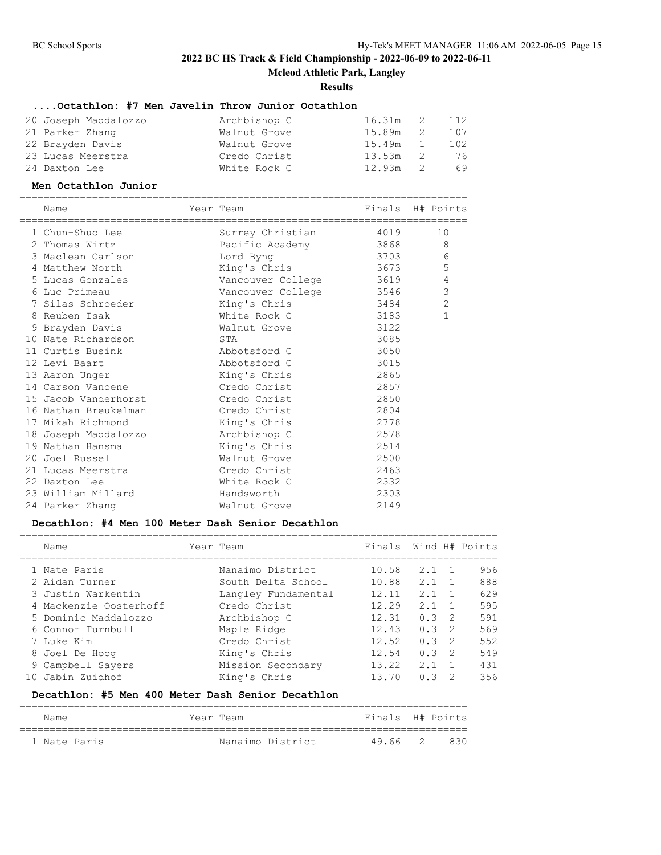**Mcleod Athletic Park, Langley**

**Results**

# **....Octathlon: #7 Men Javelin Throw Junior Octathlon**

| 20 Joseph Maddalozzo | Archbishop C | 16.31m 2 112 |     |     |
|----------------------|--------------|--------------|-----|-----|
| 21 Parker Zhang      | Walnut Grove | 15.89m       | - 2 | 107 |
| 22 Brayden Davis     | Walnut Grove | 15.49m 1     |     | 102 |
| 23 Lucas Meerstra    | Credo Christ | $13.53m$ 2   |     | 76  |
| 24 Daxton Lee        | White Rock C | $12.93m$ 2   |     | 69  |

#### **Men Octathlon Junior**

| Name                              | Year Team                 | Finals H# Points |                |
|-----------------------------------|---------------------------|------------------|----------------|
| 1 Chun-Shuo Lee                   | Surrey Christian 519 4019 |                  | 10             |
| 2 Thomas Wirtz                    | Pacific Academy 3868      |                  | 8              |
| 3 Maclean Carlson                 | 3703<br>Lord Byng         |                  | 6              |
| 4 Matthew North                   |                           |                  | 5              |
| 5 Lucas Gonzales                  | Vancouver College 3619    |                  | 4              |
| 6 Luc Primeau                     | Vancouver College 3546    |                  | $\mathcal{S}$  |
| 7 Silas Schroeder                 | King's Chris              | 3484             | $\overline{2}$ |
| 8 Reuben Isak                     | White Rock C              | 3183             | $\mathbf{1}$   |
| 9 Brayden Davis                   | Walnut Grove              | 3122             |                |
| 10 Nate Richardson                | STA                       | 3085             |                |
| 11 Curtis Busink                  | Abbotsford C              | 3050             |                |
| 12 Levi Baart                     | Abbotsford C              | 3015             |                |
| 13 Aaron Unger                    | King's Chris              | 2865             |                |
| 14 Carson Vanoene                 | Credo Christ              | 2857             |                |
| 15 Jacob Vanderhorst              | Credo Christ              | 2850             |                |
| 16 Nathan Breukelman              | Credo Christ              | 2804             |                |
| 17 Mikah Richmond                 | King's Chris              | 2778             |                |
| 18 Joseph Maddalozzo Archbishop C |                           | 2578             |                |
| 19 Nathan Hansma                  | King's Chris              | 2514             |                |
| 20 Joel Russell                   | Walnut Grove              | 2500             |                |
| 21 Lucas Meerstra                 | Credo Christ              | 2463             |                |
| 22 Daxton Lee                     | White Rock C              | 2332             |                |
| 23 William Millard                | Handsworth                | 2303             |                |
| 24 Parker Zhang                   | Walnut Grove              | 2149             |                |
|                                   |                           |                  |                |

## **Decathlon: #4 Men 100 Meter Dash Senior Decathlon**

| Name                   |                     | Finals    |     |                |                |
|------------------------|---------------------|-----------|-----|----------------|----------------|
| 1 Nate Paris           | Nanaimo District    | 10.58     | 2.1 | $\overline{1}$ | 956            |
| 2 Aidan Turner         | South Delta School  | 10.88     | 2.1 |                | 888            |
| 3 Justin Warkentin     | Langley Fundamental | 12.11     | 2.1 |                | 629            |
| 4 Mackenzie Oosterhoff | Credo Christ        | 12.29     | 2.1 |                | 595            |
| 5 Dominic Maddalozzo   | Archbishop C        | 12.31     | 0.3 | $\mathcal{P}$  | 591            |
| 6 Connor Turnbull      | Maple Ridge         | 12.43     | 0.3 | $\mathcal{L}$  | 569            |
| 7 Luke Kim             | Credo Christ        | 12.52     | 0.3 | $\mathcal{P}$  | 552            |
| 8 Joel De Hoog         | King's Chris        | 12.54     | 0.3 | $\mathcal{L}$  | 549            |
| 9 Campbell Sayers      | Mission Secondary   | 13.22     | 2.1 |                | 431            |
| Jabin Zuidhof          | King's Chris        | 13.70     | 0.3 |                | 356            |
|                        |                     | Year Team |     |                | Wind H# Points |

## **Decathlon: #5 Men 400 Meter Dash Senior Decathlon**

| Name         | Year Team        | Finals H# Points |     |
|--------------|------------------|------------------|-----|
| 1 Nate Paris | Nanaimo District | 49.66 2          | 830 |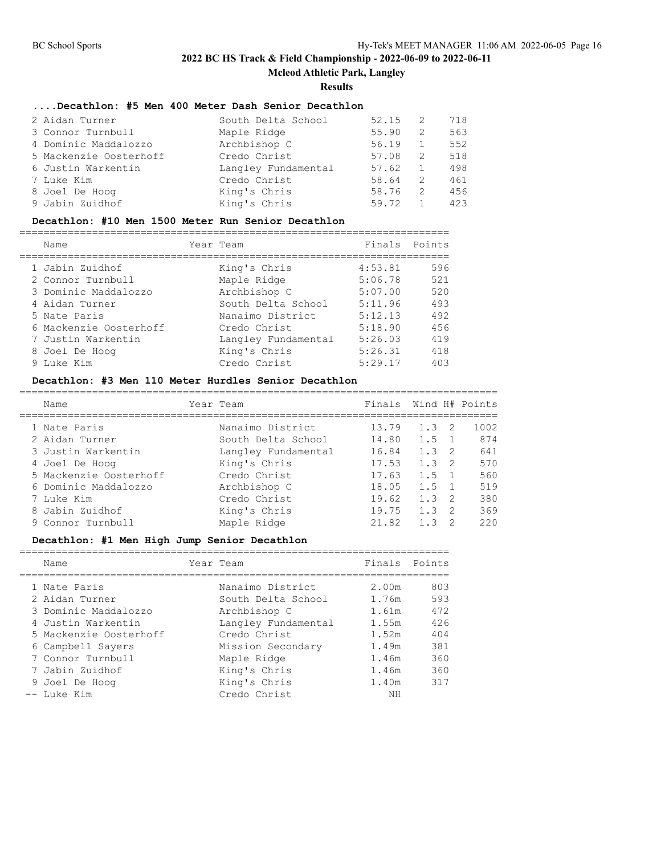## **Mcleod Athletic Park, Langley**

**Results**

# **....Decathlon: #5 Men 400 Meter Dash Senior Decathlon**

| 2 Aidan Turner         | South Delta School  | 52.15 | -2  | 718 |
|------------------------|---------------------|-------|-----|-----|
| 3 Connor Turnbull      | Maple Ridge         | 55.90 | -2  | 563 |
| 4 Dominic Maddalozzo   | Archbishop C        | 56.19 | 1   | 552 |
| 5 Mackenzie Oosterhoff | Credo Christ        | 57.08 | -2. | 518 |
| 6 Justin Warkentin     | Langley Fundamental | 57.62 | 1   | 498 |
| 7 Luke Kim             | Credo Christ        | 58.64 | -2. | 461 |
| 8 Joel De Hoog         | King's Chris        | 58.76 | -2. | 456 |
| 9 Jabin Zuidhof        | King's Chris        | 59.72 |     | 423 |

# **Decathlon: #10 Men 1500 Meter Run Senior Decathlon**

|  | Name                   | Year Team           |         | Finals Points |
|--|------------------------|---------------------|---------|---------------|
|  | 1 Jabin Zuidhof        | King's Chris        | 4:53.81 | 596           |
|  | 2 Connor Turnbull      | Maple Ridge         | 5:06.78 | 521           |
|  | 3 Dominic Maddalozzo   | Archbishop C        | 5:07.00 | 520           |
|  | 4 Aidan Turner         | South Delta School  | 5:11.96 | 493           |
|  | 5 Nate Paris           | Nanaimo District    | 5:12.13 | 492           |
|  | 6 Mackenzie Oosterhoff | Credo Christ        | 5:18.90 | 456           |
|  | 7 Justin Warkentin     | Langley Fundamental | 5:26.03 | 419           |
|  | 8 Joel De Hoog         | King's Chris        | 5:26.31 | 418           |
|  | 9 Luke Kim             | Credo Christ        | 5:29.17 | 403           |
|  |                        |                     |         |               |

## **Decathlon: #3 Men 110 Meter Hurdles Senior Decathlon**

| Name                   | Year Team           | Finals |               |                | Wind H# Points |
|------------------------|---------------------|--------|---------------|----------------|----------------|
| 1 Nate Paris           | Nanaimo District    | 13.79  | $1.3 \quad 2$ |                | 1002           |
| 2 Aidan Turner         | South Delta School  | 14.80  | 1.5           |                | 874            |
| 3 Justin Warkentin     | Langley Fundamental | 16.84  | 1.3           | - 2            | 641            |
| 4 Joel De Hoog         | King's Chris        | 17.53  | 1.3           | $\overline{2}$ | 570            |
| 5 Mackenzie Oosterhoff | Credo Christ        | 17.63  | 1.5           |                | 560            |
| 6 Dominic Maddalozzo   | Archbishop C        | 18.05  | 1.5           | $\overline{1}$ | 519            |
| 7 Luke Kim             | Credo Christ        | 19.62  | 1.3           | $\overline{2}$ | 380            |
| 8 Jabin Zuidhof        | King's Chris        | 19.75  | 1.3           | $\mathcal{P}$  | 369            |
| 9 Connor Turnbull      | Maple Ridge         | 21.82  | 13            |                | 220            |

## **Decathlon: #1 Men High Jump Senior Decathlon**

| Name                   | Year Team           | Finals Points |     |
|------------------------|---------------------|---------------|-----|
|                        |                     |               |     |
| 1 Nate Paris           | Nanaimo District    | 2.00m         | 803 |
| 2 Aidan Turner         | South Delta School  | 1.76m         | 593 |
| 3 Dominic Maddalozzo   | Archbishop C        | 1.61m         | 472 |
| 4 Justin Warkentin     | Langley Fundamental | 1.55m         | 426 |
| 5 Mackenzie Oosterhoff | Credo Christ        | 1.52m         | 404 |
| 6 Campbell Sayers      | Mission Secondary   | 1.49m         | 381 |
| 7 Connor Turnbull      | Maple Ridge         | 1.46m         | 360 |
| 7 Jabin Zuidhof        | King's Chris        | 1.46m         | 360 |
| 9 Joel De Hoog         | King's Chris        | 1.40m         | 317 |
| -- Luke Kim            | Credo Christ        | NΗ            |     |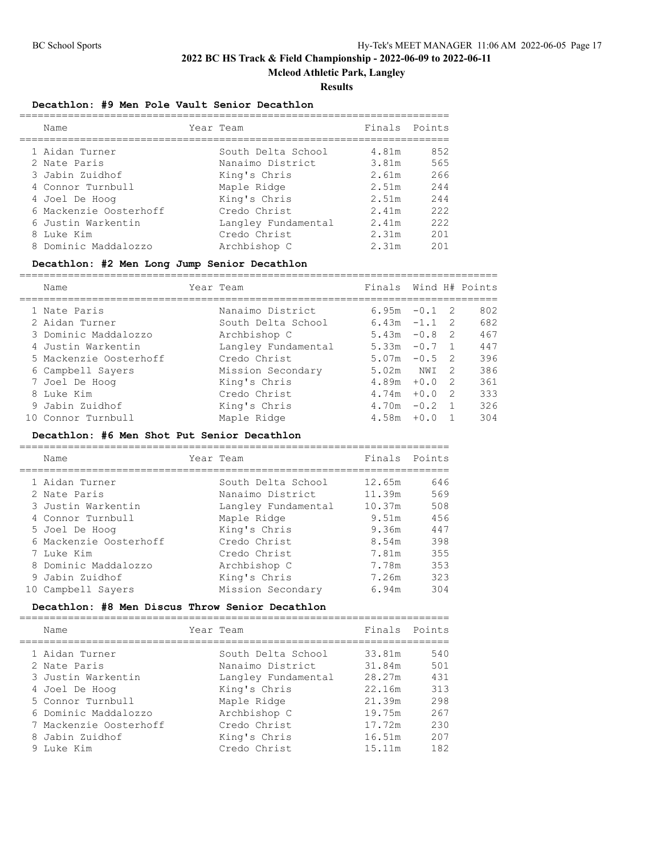**Mcleod Athletic Park, Langley**

#### **Results**

#### **Decathlon: #9 Men Pole Vault Senior Decathlon**

|   | Name                   | Year Team           | Finals Points |     |
|---|------------------------|---------------------|---------------|-----|
|   | 1 Aidan Turner         | South Delta School  | 4.81m         | 852 |
|   | 2 Nate Paris           | Nanaimo District    | 3.81m         | 565 |
|   | 3 Jabin Zuidhof        | King's Chris        | 2.61m         | 266 |
|   | 4 Connor Turnbull      | Maple Ridge         | 2.51m         | 244 |
|   | 4 Joel De Hoog         | King's Chris        | 2.51m         | 244 |
|   | 6 Mackenzie Oosterhoff | Credo Christ        | 2.41m         | 222 |
|   | 6 Justin Warkentin     | Langley Fundamental | 2.41m         | 222 |
| 8 | Luke Kim               | Credo Christ        | 2.31m         | 201 |
|   | 8 Dominic Maddalozzo   | Archbishop C        | 2.31m         | 201 |

#### **Decathlon: #2 Men Long Jump Senior Decathlon**

===============================================================================

| Name                   | Year Team           | Finals Wind H# Points |        |     |     |
|------------------------|---------------------|-----------------------|--------|-----|-----|
| 1 Nate Paris           | Nanaimo District    | 6.95m                 | $-0.1$ | - 2 | 802 |
| 2 Aidan Turner         | South Delta School  | $6.43m -1.1$          |        | - 2 | 682 |
| 3 Dominic Maddalozzo   | Archbishop C        | 5.43m                 | $-0.8$ | - 2 | 467 |
| 4 Justin Warkentin     | Langley Fundamental | 5.33m                 | $-0.7$ |     | 447 |
| 5 Mackenzie Oosterhoff | Credo Christ        | 5.07m                 | $-0.5$ | - 2 | 396 |
| 6 Campbell Sayers      | Mission Secondary   | 5.02m                 | NWI    | -2  | 386 |
| 7 Joel De Hoog         | King's Chris        | 4.89m                 | $+0.0$ | -2  | 361 |
| 8 Luke Kim             | Credo Christ        | 4.74m                 | $+0.0$ | -2  | 333 |
| 9 Jabin Zuidhof        | King's Chris        | 4.70m                 | $-0.2$ |     | 326 |
| 10 Connor Turnbull     | Maple Ridge         | 4.58m                 | $+0.0$ |     | 304 |

### **Decathlon: #6 Men Shot Put Senior Decathlon**

| Name                   | Year Team           | Finals Points |     |
|------------------------|---------------------|---------------|-----|
|                        |                     |               |     |
| 1 Aidan Turner         | South Delta School  | 12.65m        | 646 |
| 2 Nate Paris           | Nanaimo District    | 11.39m        | 569 |
| 3 Justin Warkentin     | Langley Fundamental | 10.37m        | 508 |
| 4 Connor Turnbull      | Maple Ridge         | 9.51m         | 456 |
| 5 Joel De Hoog         | King's Chris        | 9.36m         | 447 |
| 6 Mackenzie Oosterhoff | Credo Christ        | 8.54m         | 398 |
| 7 Luke Kim             | Credo Christ        | 7.81m         | 355 |
| 8 Dominic Maddalozzo   | Archbishop C        | 7.78m         | 353 |
| 9 Jabin Zuidhof        | King's Chris        | 7.26m         | 323 |
| 10 Campbell Savers     | Mission Secondary   | 6.94m         | 304 |

### **Decathlon: #8 Men Discus Throw Senior Decathlon**

|  | Name                   | Year Team           |        | Finals Points |
|--|------------------------|---------------------|--------|---------------|
|  | 1 Aidan Turner         | South Delta School  | 33.81m | 540           |
|  | 2 Nate Paris           | Nanaimo District    | 31.84m | 501           |
|  | 3 Justin Warkentin     | Langley Fundamental | 28.27m | 431           |
|  | 4 Joel De Hoog         | King's Chris        | 22.16m | 313           |
|  | 5 Connor Turnbull      | Maple Ridge         | 21.39m | 298           |
|  | 6 Dominic Maddalozzo   | Archbishop C        | 19.75m | 267           |
|  | 7 Mackenzie Oosterhoff | Credo Christ        | 17.72m | 230           |
|  | 8 Jabin Zuidhof        | King's Chris        | 16.51m | 207           |
|  | 9 Luke Kim             | Credo Christ        | 15.11m | 182           |
|  |                        |                     |        |               |